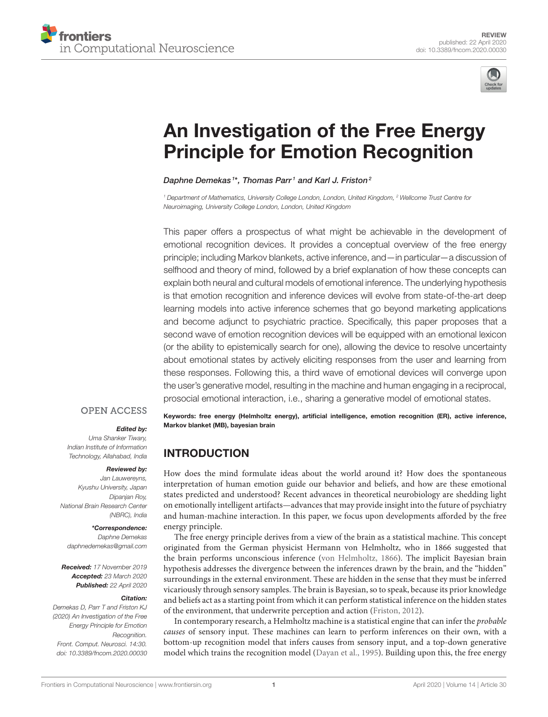



# [An Investigation of the Free Energy](https://www.frontiersin.org/articles/10.3389/fncom.2020.00030/full) Principle for Emotion Recognition

#### [Daphne Demekas](http://loop.frontiersin.org/people/851021/overview) $^{1*}$ , [Thomas Parr](http://loop.frontiersin.org/people/499268/overview) $^1$  and [Karl J. Friston](http://loop.frontiersin.org/people/20407/overview) $^2$

*<sup>1</sup> Department of Mathematics, University College London, London, United Kingdom, <sup>2</sup> Wellcome Trust Centre for Neuroimaging, University College London, London, United Kingdom*

This paper offers a prospectus of what might be achievable in the development of emotional recognition devices. It provides a conceptual overview of the free energy principle; including Markov blankets, active inference, and—in particular—a discussion of selfhood and theory of mind, followed by a brief explanation of how these concepts can explain both neural and cultural models of emotional inference. The underlying hypothesis is that emotion recognition and inference devices will evolve from state-of-the-art deep learning models into active inference schemes that go beyond marketing applications and become adjunct to psychiatric practice. Specifically, this paper proposes that a second wave of emotion recognition devices will be equipped with an emotional lexicon (or the ability to epistemically search for one), allowing the device to resolve uncertainty about emotional states by actively eliciting responses from the user and learning from these responses. Following this, a third wave of emotional devices will converge upon the user's generative model, resulting in the machine and human engaging in a reciprocal, prosocial emotional interaction, i.e., sharing a generative model of emotional states.

**OPEN ACCESS** 

#### Edited by:

*Uma Shanker Tiwary, Indian Institute of Information Technology, Allahabad, India*

#### Reviewed by:

*Jan Lauwereyns, Kyushu University, Japan Dipanjan Roy, National Brain Research Center (NBRC), India*

#### \*Correspondence:

*Daphne Demekas [daphnedemekas@gmail.com](mailto:daphnedemekas@gmail.com)*

Received: *17 November 2019* Accepted: *23 March 2020* Published: *22 April 2020*

#### Citation:

*Demekas D, Parr T and Friston KJ (2020) An Investigation of the Free Energy Principle for Emotion Recognition. Front. Comput. Neurosci. 14:30. doi: [10.3389/fncom.2020.00030](https://doi.org/10.3389/fncom.2020.00030)*

Keywords: free energy (Helmholtz energy), artificial intelligence, emotion recognition (ER), active inference, Markov blanket (MB), bayesian brain

# INTRODUCTION

How does the mind formulate ideas about the world around it? How does the spontaneous interpretation of human emotion guide our behavior and beliefs, and how are these emotional states predicted and understood? Recent advances in theoretical neurobiology are shedding light on emotionally intelligent artifacts—advances that may provide insight into the future of psychiatry and human-machine interaction. In this paper, we focus upon developments afforded by the free energy principle.

The free energy principle derives from a view of the brain as a statistical machine. This concept originated from the German physicist Hermann von Helmholtz, who in 1866 suggested that the brain performs unconscious inference [\(von Helmholtz, 1866\)](#page-15-0). The implicit Bayesian brain hypothesis addresses the divergence between the inferences drawn by the brain, and the "hidden" surroundings in the external environment. These are hidden in the sense that they must be inferred vicariously through sensory samples. The brain is Bayesian, so to speak, because its prior knowledge and beliefs act as a starting point from which it can perform statistical inference on the hidden states of the environment, that underwrite perception and action [\(Friston, 2012\)](#page-13-0).

In contemporary research, a Helmholtz machine is a statistical engine that can infer the probable causes of sensory input. These machines can learn to perform inferences on their own, with a bottom-up recognition model that infers causes from sensory input, and a top-down generative model which trains the recognition model [\(Dayan et al., 1995\)](#page-13-1). Building upon this, the free energy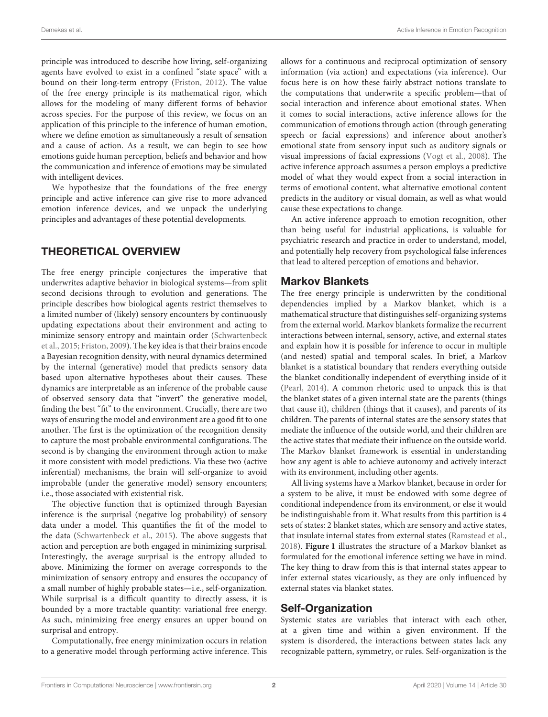principle was introduced to describe how living, self-organizing agents have evolved to exist in a confined "state space" with a bound on their long-term entropy [\(Friston, 2012\)](#page-13-0). The value of the free energy principle is its mathematical rigor, which allows for the modeling of many different forms of behavior across species. For the purpose of this review, we focus on an application of this principle to the inference of human emotion, where we define emotion as simultaneously a result of sensation and a cause of action. As a result, we can begin to see how emotions guide human perception, beliefs and behavior and how the communication and inference of emotions may be simulated with intelligent devices.

We hypothesize that the foundations of the free energy principle and active inference can give rise to more advanced emotion inference devices, and we unpack the underlying principles and advantages of these potential developments.

# THEORETICAL OVERVIEW

The free energy principle conjectures the imperative that underwrites adaptive behavior in biological systems—from split second decisions through to evolution and generations. The principle describes how biological agents restrict themselves to a limited number of (likely) sensory encounters by continuously updating expectations about their environment and acting to minimize sensory entropy and maintain order (Schwartenbeck et al., [2015;](#page-14-0) [Friston, 2009\)](#page-13-2). The key idea is that their brains encode a Bayesian recognition density, with neural dynamics determined by the internal (generative) model that predicts sensory data based upon alternative hypotheses about their causes. These dynamics are interpretable as an inference of the probable cause of observed sensory data that "invert" the generative model, finding the best "fit" to the environment. Crucially, there are two ways of ensuring the model and environment are a good fit to one another. The first is the optimization of the recognition density to capture the most probable environmental configurations. The second is by changing the environment through action to make it more consistent with model predictions. Via these two (active inferential) mechanisms, the brain will self-organize to avoid improbable (under the generative model) sensory encounters; i.e., those associated with existential risk.

The objective function that is optimized through Bayesian inference is the surprisal (negative log probability) of sensory data under a model. This quantifies the fit of the model to the data [\(Schwartenbeck et al., 2015\)](#page-14-0). The above suggests that action and perception are both engaged in minimizing surprisal. Interestingly, the average surprisal is the entropy alluded to above. Minimizing the former on average corresponds to the minimization of sensory entropy and ensures the occupancy of a small number of highly probable states—i.e., self-organization. While surprisal is a difficult quantity to directly assess, it is bounded by a more tractable quantity: variational free energy. As such, minimizing free energy ensures an upper bound on surprisal and entropy.

Computationally, free energy minimization occurs in relation to a generative model through performing active inference. This allows for a continuous and reciprocal optimization of sensory information (via action) and expectations (via inference). Our focus here is on how these fairly abstract notions translate to the computations that underwrite a specific problem—that of social interaction and inference about emotional states. When it comes to social interactions, active inference allows for the communication of emotions through action (through generating speech or facial expressions) and inference about another's emotional state from sensory input such as auditory signals or visual impressions of facial expressions [\(Vogt et al., 2008\)](#page-14-1). The active inference approach assumes a person employs a predictive model of what they would expect from a social interaction in terms of emotional content, what alternative emotional content predicts in the auditory or visual domain, as well as what would cause these expectations to change.

An active inference approach to emotion recognition, other than being useful for industrial applications, is valuable for psychiatric research and practice in order to understand, model, and potentially help recovery from psychological false inferences that lead to altered perception of emotions and behavior.

#### Markov Blankets

The free energy principle is underwritten by the conditional dependencies implied by a Markov blanket, which is a mathematical structure that distinguishes self-organizing systems from the external world. Markov blankets formalize the recurrent interactions between internal, sensory, active, and external states and explain how it is possible for inference to occur in multiple (and nested) spatial and temporal scales. In brief, a Markov blanket is a statistical boundary that renders everything outside the blanket conditionally independent of everything inside of it [\(Pearl, 2014\)](#page-14-2). A common rhetoric used to unpack this is that the blanket states of a given internal state are the parents (things that cause it), children (things that it causes), and parents of its children. The parents of internal states are the sensory states that mediate the influence of the outside world, and their children are the active states that mediate their influence on the outside world. The Markov blanket framework is essential in understanding how any agent is able to achieve autonomy and actively interact with its environment, including other agents.

All living systems have a Markov blanket, because in order for a system to be alive, it must be endowed with some degree of conditional independence from its environment, or else it would be indistinguishable from it. What results from this partition is 4 sets of states: 2 blanket states, which are sensory and active states, that insulate internal states from external states [\(Ramstead et al.,](#page-14-3) [2018\)](#page-14-3). **[Figure 1](#page-2-0)** illustrates the structure of a Markov blanket as formulated for the emotional inference setting we have in mind. The key thing to draw from this is that internal states appear to infer external states vicariously, as they are only influenced by external states via blanket states.

#### Self-Organization

Systemic states are variables that interact with each other, at a given time and within a given environment. If the system is disordered, the interactions between states lack any recognizable pattern, symmetry, or rules. Self-organization is the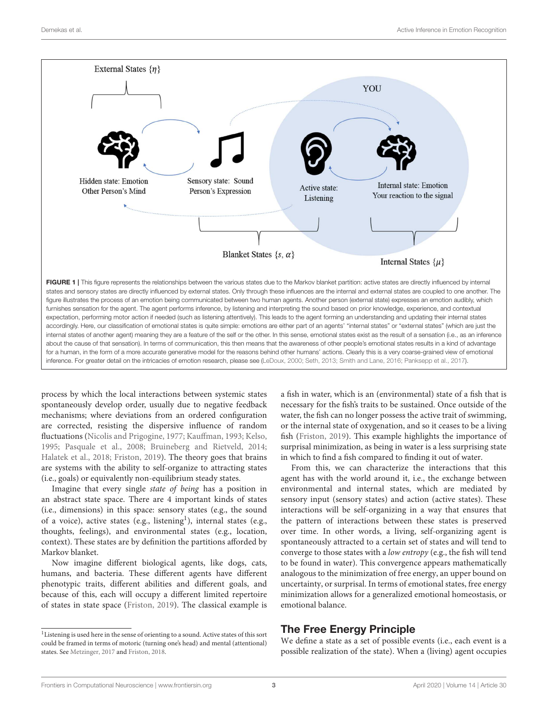

<span id="page-2-0"></span>process by which the local interactions between systemic states spontaneously develop order, usually due to negative feedback mechanisms; where deviations from an ordered configuration are corrected, resisting the dispersive influence of random fluctuations [\(Nicolis and Prigogine, 1977;](#page-14-7) [Kauffman, 1993;](#page-13-4) [Kelso,](#page-13-5) [1995;](#page-13-5) [Pasquale et al., 2008;](#page-14-8) [Bruineberg and Rietveld, 2014;](#page-13-6) [Halatek et al., 2018;](#page-13-7) [Friston, 2019\)](#page-13-8). The theory goes that brains are systems with the ability to self-organize to attracting states (i.e., goals) or equivalently non-equilibrium steady states.

Imagine that every single state of being has a position in an abstract state space. There are 4 important kinds of states (i.e., dimensions) in this space: sensory states (e.g., the sound of a voice), active states (e.g., listening<sup>[1](#page-2-1)</sup>), internal states (e.g., thoughts, feelings), and environmental states (e.g., location, context). These states are by definition the partitions afforded by Markov blanket.

Now imagine different biological agents, like dogs, cats, humans, and bacteria. These different agents have different phenotypic traits, different abilities and different goals, and because of this, each will occupy a different limited repertoire of states in state space [\(Friston, 2019\)](#page-13-8). The classical example is

<span id="page-2-1"></span> $^{\rm 1}$  Listening is used here in the sense of orienting to a sound. Active states of this sort could be framed in terms of motoric (turning one's head) and mental (attentional) states. See [Metzinger, 2017](#page-14-9) and [Friston, 2018.](#page-13-9)

a fish in water, which is an (environmental) state of a fish that is necessary for the fish's traits to be sustained. Once outside of the water, the fish can no longer possess the active trait of swimming, or the internal state of oxygenation, and so it ceases to be a living fish [\(Friston, 2019\)](#page-13-8). This example highlights the importance of surprisal minimization, as being in water is a less surprising state in which to find a fish compared to finding it out of water.

From this, we can characterize the interactions that this agent has with the world around it, i.e., the exchange between environmental and internal states, which are mediated by sensory input (sensory states) and action (active states). These interactions will be self-organizing in a way that ensures that the pattern of interactions between these states is preserved over time. In other words, a living, self-organizing agent is spontaneously attracted to a certain set of states and will tend to converge to those states with a low entropy (e.g., the fish will tend to be found in water). This convergence appears mathematically analogous to the minimization of free energy, an upper bound on uncertainty, or surprisal. In terms of emotional states, free energy minimization allows for a generalized emotional homeostasis, or emotional balance.

# The Free Energy Principle

We define a state as a set of possible events (i.e., each event is a possible realization of the state). When a (living) agent occupies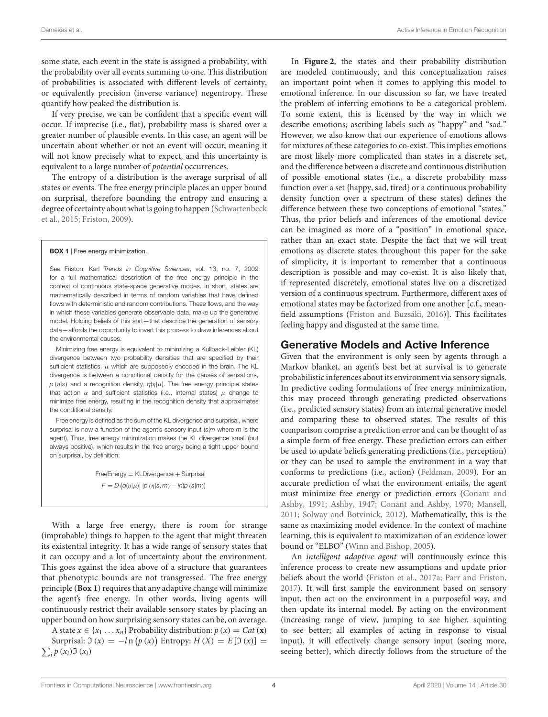some state, each event in the state is assigned a probability, with the probability over all events summing to one. This distribution of probabilities is associated with different levels of certainty, or equivalently precision (inverse variance) negentropy. These quantify how peaked the distribution is.

If very precise, we can be confident that a specific event will occur. If imprecise (i.e., flat), probability mass is shared over a greater number of plausible events. In this case, an agent will be uncertain about whether or not an event will occur, meaning it will not know precisely what to expect, and this uncertainty is equivalent to a large number of potential occurrences.

The entropy of a distribution is the average surprisal of all states or events. The free energy principle places an upper bound on surprisal, therefore bounding the entropy and ensuring a degree of certainty about what is going to happen (Schwartenbeck et al., [2015;](#page-14-0) [Friston, 2009\)](#page-13-2).

#### <span id="page-3-0"></span>BOX 1 | Free energy minimization.

See Friston, Karl *Trends in Cognitive Sciences*, vol. 13, no. 7, 2009 for a full mathematical description of the free energy principle in the context of continuous state-space generative modes. In short, states are mathematically described in terms of random variables that have defined flows with deterministic and random contributions. These flows, and the way in which these variables generate observable data, make up the generative model. Holding beliefs of this sort—that describe the generation of sensory data—affords the opportunity to invert this process to draw inferences about the environmental causes.

Minimizing free energy is equivalent to minimizing a Kullback-Leibler (KL) divergence between two probability densities that are specified by their sufficient statistics,  $\mu$  which are supposedly encoded in the brain. The KL divergence is between a conditional density for the causes of sensations,  $p(\eta|s)$  and a recognition density,  $q(\eta|\mu)$ . The free energy principle states that action  $\alpha$  and sufficient statistics (i.e., internal states)  $\mu$  change to minimize free energy, resulting in the recognition density that approximates the conditional density.

Free energy is defined as the sum of the KL divergence and surprisal, where surprisal is now a function of the agent's sensory input (*s|m* where *m* is the agent). Thus, free energy minimization makes the KL divergence small (but always positive), which results in the free energy being a tight upper bound on surprisal, by definition:

> FreeEnergy = KLDivergence + Surprisal  $F = D (q(\eta|\mu) || p(\eta|s,m) - ln(p(s|m)))$

With a large free energy, there is room for strange (improbable) things to happen to the agent that might threaten its existential integrity. It has a wide range of sensory states that it can occupy and a lot of uncertainty about the environment. This goes against the idea above of a structure that guarantees that phenotypic bounds are not transgressed. The free energy principle (**[Box 1](#page-3-0)**) requires that any adaptive change will minimize the agent's free energy. In other words, living agents will continuously restrict their available sensory states by placing an upper bound on how surprising sensory states can be, on average.

A state  $x \in \{x_1 \dots x_n\}$  Probability distribution:  $p(x) = Cat(x)$ Surprisal:  $\Im(x) = -\ln(p(x))$  Entropy:  $H(X) = E[\Im(x)] =$  $\sum_i p\left(x_i\right) \mathfrak{I}\left(x_i\right)$ 

In **[Figure 2](#page-4-0)**, the states and their probability distribution are modeled continuously, and this conceptualization raises an important point when it comes to applying this model to emotional inference. In our discussion so far, we have treated the problem of inferring emotions to be a categorical problem. To some extent, this is licensed by the way in which we describe emotions; ascribing labels such as "happy" and "sad." However, we also know that our experience of emotions allows for mixtures of these categories to co-exist. This implies emotions are most likely more complicated than states in a discrete set, and the difference between a discrete and continuous distribution of possible emotional states (i.e., a discrete probability mass function over a set {happy, sad, tired} or a continuous probability density function over a spectrum of these states) defines the difference between these two conceptions of emotional "states." Thus, the prior beliefs and inferences of the emotional device can be imagined as more of a "position" in emotional space, rather than an exact state. Despite the fact that we will treat emotions as discrete states throughout this paper for the sake of simplicity, it is important to remember that a continuous description is possible and may co-exist. It is also likely that, if represented discretely, emotional states live on a discretized version of a continuous spectrum. Furthermore, different axes of emotional states may be factorized from one another [c.f., meanfield assumptions [\(Friston and Buzsáki, 2016\)](#page-13-10)]. This facilitates feeling happy and disgusted at the same time.

#### Generative Models and Active Inference

Given that the environment is only seen by agents through a Markov blanket, an agent's best bet at survival is to generate probabilistic inferences about its environment via sensory signals. In predictive coding formulations of free energy minimization, this may proceed through generating predicted observations (i.e., predicted sensory states) from an internal generative model and comparing these to observed states. The results of this comparison comprise a prediction error and can be thought of as a simple form of free energy. These prediction errors can either be used to update beliefs generating predictions (i.e., perception) or they can be used to sample the environment in a way that conforms to predictions (i.e., action) [\(Feldman, 2009\)](#page-13-11). For an accurate prediction of what the environment entails, the agent must minimize free energy or prediction errors (Conant and Ashby, [1991;](#page-13-12) [Ashby, 1947;](#page-12-0) [Conant and Ashby, 1970;](#page-13-13) [Mansell,](#page-14-10) [2011;](#page-14-10) [Solway and Botvinick, 2012\)](#page-14-11). Mathematically, this is the same as maximizing model evidence. In the context of machine learning, this is equivalent to maximization of an evidence lower bound or "ELBO" [\(Winn and Bishop, 2005\)](#page-15-1).

An intelligent adaptive agent will continuously evince this inference process to create new assumptions and update prior beliefs about the world [\(Friston et al., 2017a;](#page-13-14) [Parr and Friston,](#page-14-12) [2017\)](#page-14-12). It will first sample the environment based on sensory input, then act on the environment in a purposeful way, and then update its internal model. By acting on the environment (increasing range of view, jumping to see higher, squinting to see better; all examples of acting in response to visual input), it will effectively change sensory input (seeing more, seeing better), which directly follows from the structure of the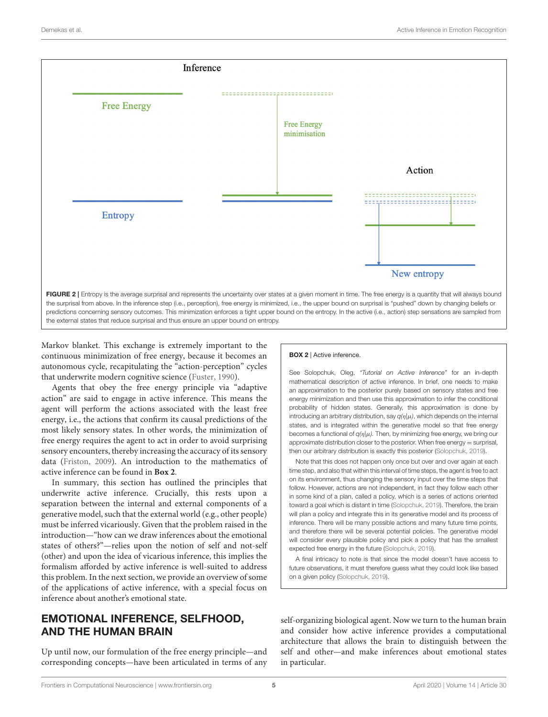

<span id="page-4-0"></span>Markov blanket. This exchange is extremely important to the continuous minimization of free energy, because it becomes an autonomous cycle, recapitulating the "action-perception" cycles that underwrite modern cognitive science [\(Fuster, 1990\)](#page-13-15).

Agents that obey the free energy principle via "adaptive action" are said to engage in active inference. This means the agent will perform the actions associated with the least free energy, i.e., the actions that confirm its causal predictions of the most likely sensory states. In other words, the minimization of free energy requires the agent to act in order to avoid surprising sensory encounters, thereby increasing the accuracy of its sensory data [\(Friston, 2009\)](#page-13-2). An introduction to the mathematics of active inference can be found in **[Box 2](#page-4-1)**.

In summary, this section has outlined the principles that underwrite active inference. Crucially, this rests upon a separation between the internal and external components of a generative model, such that the external world (e.g., other people) must be inferred vicariously. Given that the problem raised in the introduction—"how can we draw inferences about the emotional states of others?"—relies upon the notion of self and not-self (other) and upon the idea of vicarious inference, this implies the formalism afforded by active inference is well-suited to address this problem. In the next section, we provide an overview of some of the applications of active inference, with a special focus on inference about another's emotional state.

# EMOTIONAL INFERENCE, SELFHOOD, AND THE HUMAN BRAIN

Up until now, our formulation of the free energy principle—and corresponding concepts—have been articulated in terms of any

#### <span id="page-4-1"></span>BOX 2 | Active inference.

See Solopchuk, Oleg, *"Tutorial on Active Inference"* for an in-depth mathematical description of active inference. In brief, one needs to make an approximation to the posterior purely based on sensory states and free energy minimization and then use this approximation to infer the conditional probability of hidden states. Generally, this approximation is done by introducing an arbitrary distribution, say  $q(\eta|\mu)$ , which depends on the internal states, and is integrated within the generative model so that free energy becomes a functional of *q(*η*|*µ*).* Then, by minimizing free energy, we bring our approximate distribution closer to the posterior. When free energy  $=$  surprisal, then our arbitrary distribution is exactly this posterior [\(Solopchuk, 2019\)](#page-14-13).

Note that this does not happen only once but over and over again at each time step, and also that within this interval of time steps, the agent is free to act on its environment, thus changing the sensory input over the time steps that follow. However, actions are not independent, in fact they follow each other in some kind of a plan, called a policy, which is a series of actions oriented toward a goal which is distant in time [\(Solopchuk, 2019\)](#page-14-13). Therefore, the brain will plan a policy and integrate this in its generative model and its process of inference. There will be many possible actions and many future time points, and therefore there will be several potential policies. The generative model will consider every plausible policy and pick a policy that has the smallest expected free energy in the future [\(Solopchuk, 2019\)](#page-14-13).

A final intricacy to note is that since the model doesn't have access to future observations, it must therefore guess what they could look like based on a given policy [\(Solopchuk, 2019\)](#page-14-13).

self-organizing biological agent. Now we turn to the human brain and consider how active inference provides a computational architecture that allows the brain to distinguish between the self and other—and make inferences about emotional states in particular.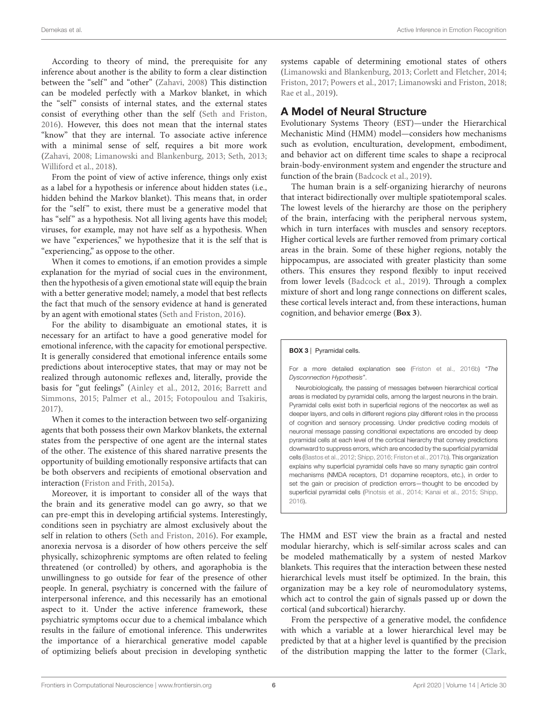According to theory of mind, the prerequisite for any inference about another is the ability to form a clear distinction between the "self" and "other" [\(Zahavi, 2008\)](#page-15-2) This distinction can be modeled perfectly with a Markov blanket, in which the "self" consists of internal states, and the external states consist of everything other than the self [\(Seth and Friston,](#page-14-14) [2016\)](#page-14-14). However, this does not mean that the internal states "know" that they are internal. To associate active inference with a minimal sense of self, requires a bit more work [\(Zahavi, 2008;](#page-15-2) [Limanowski and Blankenburg, 2013;](#page-13-16) [Seth, 2013;](#page-14-4) [Williford et al., 2018\)](#page-15-3).

From the point of view of active inference, things only exist as a label for a hypothesis or inference about hidden states (i.e., hidden behind the Markov blanket). This means that, in order for the "self" to exist, there must be a generative model that has "self" as a hypothesis. Not all living agents have this model; viruses, for example, may not have self as a hypothesis. When we have "experiences," we hypothesize that it is the self that is "experiencing," as oppose to the other.

When it comes to emotions, if an emotion provides a simple explanation for the myriad of social cues in the environment, then the hypothesis of a given emotional state will equip the brain with a better generative model; namely, a model that best reflects the fact that much of the sensory evidence at hand is generated by an agent with emotional states [\(Seth and Friston, 2016\)](#page-14-14).

For the ability to disambiguate an emotional states, it is necessary for an artifact to have a good generative model for emotional inference, with the capacity for emotional perspective. It is generally considered that emotional inference entails some predictions about interoceptive states, that may or may not be realized through autonomic reflexes and, literally, provide the basis for "gut feelings" [\(Ainley et al., 2012,](#page-12-1) [2016;](#page-12-2) Barrett and Simmons, [2015;](#page-12-3) [Palmer et al., 2015;](#page-14-15) [Fotopoulou and Tsakiris,](#page-13-17) [2017\)](#page-13-17).

When it comes to the interaction between two self-organizing agents that both possess their own Markov blankets, the external states from the perspective of one agent are the internal states of the other. The existence of this shared narrative presents the opportunity of building emotionally responsive artifacts that can be both observers and recipients of emotional observation and interaction [\(Friston and Frith, 2015a\)](#page-13-18).

Moreover, it is important to consider all of the ways that the brain and its generative model can go awry, so that we can pre-empt this in developing artificial systems. Interestingly, conditions seen in psychiatry are almost exclusively about the self in relation to others [\(Seth and Friston, 2016\)](#page-14-14). For example, anorexia nervosa is a disorder of how others perceive the self physically, schizophrenic symptoms are often related to feeling threatened (or controlled) by others, and agoraphobia is the unwillingness to go outside for fear of the presence of other people. In general, psychiatry is concerned with the failure of interpersonal inference, and this necessarily has an emotional aspect to it. Under the active inference framework, these psychiatric symptoms occur due to a chemical imbalance which results in the failure of emotional inference. This underwrites the importance of a hierarchical generative model capable of optimizing beliefs about precision in developing synthetic

systems capable of determining emotional states of others [\(Limanowski and Blankenburg, 2013;](#page-13-16) [Corlett and Fletcher, 2014;](#page-13-19) [Friston, 2017;](#page-13-20) [Powers et al., 2017;](#page-14-16) [Limanowski and Friston, 2018;](#page-14-17) [Rae et al., 2019\)](#page-14-18).

#### A Model of Neural Structure

Evolutionary Systems Theory (EST)—under the Hierarchical Mechanistic Mind (HMM) model—considers how mechanisms such as evolution, enculturation, development, embodiment, and behavior act on different time scales to shape a reciprocal brain-body-environment system and engender the structure and function of the brain [\(Badcock et al., 2019\)](#page-12-4).

The human brain is a self-organizing hierarchy of neurons that interact bidirectionally over multiple spatiotemporal scales. The lowest levels of the hierarchy are those on the periphery of the brain, interfacing with the peripheral nervous system, which in turn interfaces with muscles and sensory receptors. Higher cortical levels are further removed from primary cortical areas in the brain. Some of these higher regions, notably the hippocampus, are associated with greater plasticity than some others. This ensures they respond flexibly to input received from lower levels [\(Badcock et al., 2019\)](#page-12-4). Through a complex mixture of short and long range connections on different scales, these cortical levels interact and, from these interactions, human cognition, and behavior emerge (**[Box 3](#page-5-0)**).

<span id="page-5-0"></span>BOX 3 | Pyramidal cells.

For a more detailed explanation see [\(Friston et al., 2016b\)](#page-13-21) "*The Dysconnection Hypothesis"*.

Neurobiologically, the passing of messages between hierarchical cortical areas is mediated by pyramidal cells, among the largest neurons in the brain. Pyramidal cells exist both in superficial regions of the neocortex as well as deeper layers, and cells in different regions play different roles in the process of cognition and sensory processing. Under predictive coding models of neuronal message passing conditional expectations are encoded by deep pyramidal cells at each level of the cortical hierarchy that convey predictions downward to suppress errors, which are encoded by the superficial pyramidal cells [\(Bastos et al., 2012;](#page-12-5) [Shipp, 2016;](#page-14-19) [Friston et al., 2017b\)](#page-13-22). This organization explains why superficial pyramidal cells have so many synaptic gain control mechanisms (NMDA receptors, D1 dopamine receptors, etc.), in order to set the gain or precision of prediction errors—thought to be encoded by superficial pyramidal cells [\(Pinotsis et al., 2014;](#page-14-20) [Kanai et al., 2015;](#page-13-23) [Shipp,](#page-14-19) [2016\)](#page-14-19).

The HMM and EST view the brain as a fractal and nested modular hierarchy, which is self-similar across scales and can be modeled mathematically by a system of nested Markov blankets. This requires that the interaction between these nested hierarchical levels must itself be optimized. In the brain, this organization may be a key role of neuromodulatory systems, which act to control the gain of signals passed up or down the cortical (and subcortical) hierarchy.

From the perspective of a generative model, the confidence with which a variable at a lower hierarchical level may be predicted by that at a higher level is quantified by the precision of the distribution mapping the latter to the former [\(Clark,](#page-13-24)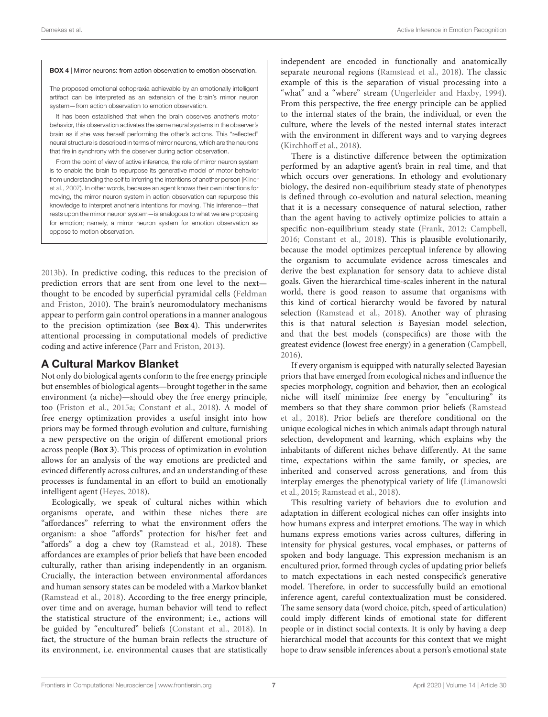#### <span id="page-6-0"></span>BOX 4 | Mirror neurons: from action observation to emotion observation.

The proposed emotional echopraxia achievable by an emotionally intelligent artifact can be interpreted as an extension of the brain's mirror neuron system—from action observation to emotion observation.

It has been established that when the brain observes another's motor behavior, this observation activates the same neural systems in the observer's brain as if she was herself performing the other's actions. This "reflected" neural structure is described in terms of mirror neurons, which are the neurons that fire in synchrony with the observer during action observation.

From the point of view of active inference, the role of mirror neuron system is to enable the brain to repurpose its generative model of motor behavior from understanding the self to inferring the intentions of another person (Kilner et al., [2007\)](#page-13-25). In other words, because an agent knows their own intentions for moving, the mirror neuron system in action observation can repurpose this knowledge to interpret another's intentions for moving. This inference—that rests upon the mirror neuron system—is analogous to what we are proposing for emotion; namely, a mirror neuron system for emotion observation as oppose to motion observation.

[2013b\)](#page-13-24). In predictive coding, this reduces to the precision of prediction errors that are sent from one level to the next thought to be encoded by superficial pyramidal cells (Feldman and Friston, [2010\)](#page-13-26). The brain's neuromodulatory mechanisms appear to perform gain control operations in a manner analogous to the precision optimization (see **[Box 4](#page-6-0)**). This underwrites attentional processing in computational models of predictive coding and active inference [\(Parr and Friston, 2013\)](#page-14-21).

## A Cultural Markov Blanket

Not only do biological agents conform to the free energy principle but ensembles of biological agents—brought together in the same environment (a niche)—should obey the free energy principle, too [\(Friston et al., 2015a;](#page-13-27) [Constant et al., 2018\)](#page-13-28). A model of free energy optimization provides a useful insight into how priors may be formed through evolution and culture, furnishing a new perspective on the origin of different emotional priors across people (**[Box 3](#page-5-0)**). This process of optimization in evolution allows for an analysis of the way emotions are predicted and evinced differently across cultures, and an understanding of these processes is fundamental in an effort to build an emotionally intelligent agent [\(Heyes, 2018\)](#page-13-29).

Ecologically, we speak of cultural niches within which organisms operate, and within these niches there are "affordances" referring to what the environment offers the organism: a shoe "affords" protection for his/her feet and "affords" a dog a chew toy [\(Ramstead et al., 2018\)](#page-14-3). These affordances are examples of prior beliefs that have been encoded culturally, rather than arising independently in an organism. Crucially, the interaction between environmental affordances and human sensory states can be modeled with a Markov blanket [\(Ramstead et al., 2018\)](#page-14-3). According to the free energy principle, over time and on average, human behavior will tend to reflect the statistical structure of the environment; i.e., actions will be guided by "encultured" beliefs [\(Constant et al., 2018\)](#page-13-28). In fact, the structure of the human brain reflects the structure of its environment, i.e. environmental causes that are statistically independent are encoded in functionally and anatomically separate neuronal regions [\(Ramstead et al., 2018\)](#page-14-3). The classic example of this is the separation of visual processing into a "what" and a "where" stream [\(Ungerleider and Haxby, 1994\)](#page-14-22). From this perspective, the free energy principle can be applied to the internal states of the brain, the individual, or even the culture, where the levels of the nested internal states interact with the environment in different ways and to varying degrees [\(Kirchhoff et al., 2018\)](#page-13-30).

There is a distinctive difference between the optimization performed by an adaptive agent's brain in real time, and that which occurs over generations. In ethology and evolutionary biology, the desired non-equilibrium steady state of phenotypes is defined through co-evolution and natural selection, meaning that it is a necessary consequence of natural selection, rather than the agent having to actively optimize policies to attain a specific non-equilibrium steady state [\(Frank, 2012;](#page-13-31) [Campbell,](#page-13-32) [2016;](#page-13-32) [Constant et al., 2018\)](#page-13-28). This is plausible evolutionarily, because the model optimizes perceptual inference by allowing the organism to accumulate evidence across timescales and derive the best explanation for sensory data to achieve distal goals. Given the hierarchical time-scales inherent in the natural world, there is good reason to assume that organisms with this kind of cortical hierarchy would be favored by natural selection [\(Ramstead et al., 2018\)](#page-14-3). Another way of phrasing this is that natural selection is Bayesian model selection, and that the best models (conspecifics) are those with the greatest evidence (lowest free energy) in a generation [\(Campbell,](#page-13-32) [2016\)](#page-13-32).

If every organism is equipped with naturally selected Bayesian priors that have emerged from ecological niches and influence the species morphology, cognition and behavior, then an ecological niche will itself minimize free energy by "enculturing" its members so that they share common prior beliefs (Ramstead et al., [2018\)](#page-14-3). Prior beliefs are therefore conditional on the unique ecological niches in which animals adapt through natural selection, development and learning, which explains why the inhabitants of different niches behave differently. At the same time, expectations within the same family, or species, are inherited and conserved across generations, and from this interplay emerges the phenotypical variety of life (Limanowski et al., [2015;](#page-14-23) [Ramstead et al., 2018\)](#page-14-3).

This resulting variety of behaviors due to evolution and adaptation in different ecological niches can offer insights into how humans express and interpret emotions. The way in which humans express emotions varies across cultures, differing in intensity for physical gestures, vocal emphases, or patterns of spoken and body language. This expression mechanism is an encultured prior, formed through cycles of updating prior beliefs to match expectations in each nested conspecific's generative model. Therefore, in order to successfully build an emotional inference agent, careful contextualization must be considered. The same sensory data (word choice, pitch, speed of articulation) could imply different kinds of emotional state for different people or in distinct social contexts. It is only by having a deep hierarchical model that accounts for this context that we might hope to draw sensible inferences about a person's emotional state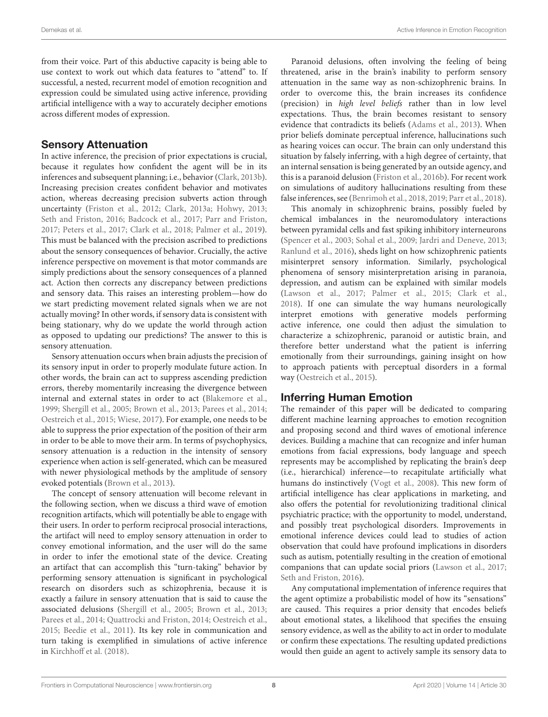from their voice. Part of this abductive capacity is being able to use context to work out which data features to "attend" to. If successful, a nested, recurrent model of emotion recognition and expression could be simulated using active inference, providing artificial intelligence with a way to accurately decipher emotions across different modes of expression.

## Sensory Attenuation

In active inference, the precision of prior expectations is crucial, because it regulates how confident the agent will be in its inferences and subsequent planning; i.e., behavior [\(Clark, 2013b\)](#page-13-24). Increasing precision creates confident behavior and motivates action, whereas decreasing precision subverts action through uncertainty [\(Friston et al., 2012;](#page-13-33) [Clark, 2013a;](#page-13-34) [Hohwy, 2013;](#page-13-35) [Seth and Friston, 2016;](#page-14-14) [Badcock et al., 2017;](#page-12-6) [Parr and Friston,](#page-14-12) [2017;](#page-14-12) [Peters et al., 2017;](#page-14-24) [Clark et al., 2018;](#page-13-36) [Palmer et al., 2019\)](#page-14-25). This must be balanced with the precision ascribed to predictions about the sensory consequences of behavior. Crucially, the active inference perspective on movement is that motor commands are simply predictions about the sensory consequences of a planned act. Action then corrects any discrepancy between predictions and sensory data. This raises an interesting problem—how do we start predicting movement related signals when we are not actually moving? In other words, if sensory data is consistent with being stationary, why do we update the world through action as opposed to updating our predictions? The answer to this is sensory attenuation.

Sensory attenuation occurs when brain adjusts the precision of its sensory input in order to properly modulate future action. In other words, the brain can act to suppress ascending prediction errors, thereby momentarily increasing the divergence between internal and external states in order to act [\(Blakemore et al.,](#page-13-37) [1999;](#page-13-37) [Shergill et al., 2005;](#page-14-26) [Brown et al., 2013;](#page-13-38) [Parees et al., 2014;](#page-14-27) [Oestreich et al., 2015;](#page-14-28) [Wiese, 2017\)](#page-15-4). For example, one needs to be able to suppress the prior expectation of the position of their arm in order to be able to move their arm. In terms of psychophysics, sensory attenuation is a reduction in the intensity of sensory experience when action is self-generated, which can be measured with newer physiological methods by the amplitude of sensory evoked potentials [\(Brown et al., 2013\)](#page-13-38).

The concept of sensory attenuation will become relevant in the following section, when we discuss a third wave of emotion recognition artifacts, which will potentially be able to engage with their users. In order to perform reciprocal prosocial interactions, the artifact will need to employ sensory attenuation in order to convey emotional information, and the user will do the same in order to infer the emotional state of the device. Creating an artifact that can accomplish this "turn-taking" behavior by performing sensory attenuation is significant in psychological research on disorders such as schizophrenia, because it is exactly a failure in sensory attenuation that is said to cause the associated delusions [\(Shergill et al., 2005;](#page-14-26) [Brown et al., 2013;](#page-13-38) [Parees et al., 2014;](#page-14-27) [Quattrocki and Friston, 2014;](#page-14-29) [Oestreich et al.,](#page-14-28) [2015;](#page-14-28) [Beedie et al., 2011\)](#page-12-7). Its key role in communication and turn taking is exemplified in simulations of active inference in [Kirchhoff et al. \(2018\)](#page-13-30).

Paranoid delusions, often involving the feeling of being threatened, arise in the brain's inability to perform sensory attenuation in the same way as non-schizophrenic brains. In order to overcome this, the brain increases its confidence (precision) in high level beliefs rather than in low level expectations. Thus, the brain becomes resistant to sensory evidence that contradicts its beliefs [\(Adams et al., 2013\)](#page-12-8). When prior beliefs dominate perceptual inference, hallucinations such as hearing voices can occur. The brain can only understand this situation by falsely inferring, with a high degree of certainty, that an internal sensation is being generated by an outside agency, and this is a paranoid delusion [\(Friston et al., 2016b\)](#page-13-21). For recent work on simulations of auditory hallucinations resulting from these false inferences, see [\(Benrimoh et al., 2018,](#page-13-39) [2019;](#page-12-9) [Parr et al., 2018\)](#page-14-30).

This anomaly in schizophrenic brains, possibly fueled by chemical imbalances in the neuromodulatory interactions between pyramidal cells and fast spiking inhibitory interneurons [\(Spencer et al., 2003;](#page-14-31) [Sohal et al., 2009;](#page-14-32) [Jardri and Deneve, 2013;](#page-13-40) [Ranlund et al., 2016\)](#page-14-33), sheds light on how schizophrenic patients misinterpret sensory information. Similarly, psychological phenomena of sensory misinterpretation arising in paranoia, depression, and autism can be explained with similar models [\(Lawson et al., 2017;](#page-13-41) [Palmer et al., 2015;](#page-14-15) [Clark et al.,](#page-13-36) [2018\)](#page-13-36). If one can simulate the way humans neurologically interpret emotions with generative models performing active inference, one could then adjust the simulation to characterize a schizophrenic, paranoid or autistic brain, and therefore better understand what the patient is inferring emotionally from their surroundings, gaining insight on how to approach patients with perceptual disorders in a formal way [\(Oestreich et al., 2015\)](#page-14-28).

## Inferring Human Emotion

The remainder of this paper will be dedicated to comparing different machine learning approaches to emotion recognition and proposing second and third waves of emotional inference devices. Building a machine that can recognize and infer human emotions from facial expressions, body language and speech represents may be accomplished by replicating the brain's deep (i.e., hierarchical) inference—to recapitulate artificially what humans do instinctively [\(Vogt et al., 2008\)](#page-14-1). This new form of artificial intelligence has clear applications in marketing, and also offers the potential for revolutionizing traditional clinical psychiatric practice; with the opportunity to model, understand, and possibly treat psychological disorders. Improvements in emotional inference devices could lead to studies of action observation that could have profound implications in disorders such as autism, potentially resulting in the creation of emotional companions that can update social priors [\(Lawson et al., 2017;](#page-13-41) [Seth and Friston, 2016\)](#page-14-14).

Any computational implementation of inference requires that the agent optimize a probabilistic model of how its "sensations" are caused. This requires a prior density that encodes beliefs about emotional states, a likelihood that specifies the ensuing sensory evidence, as well as the ability to act in order to modulate or confirm these expectations. The resulting updated predictions would then guide an agent to actively sample its sensory data to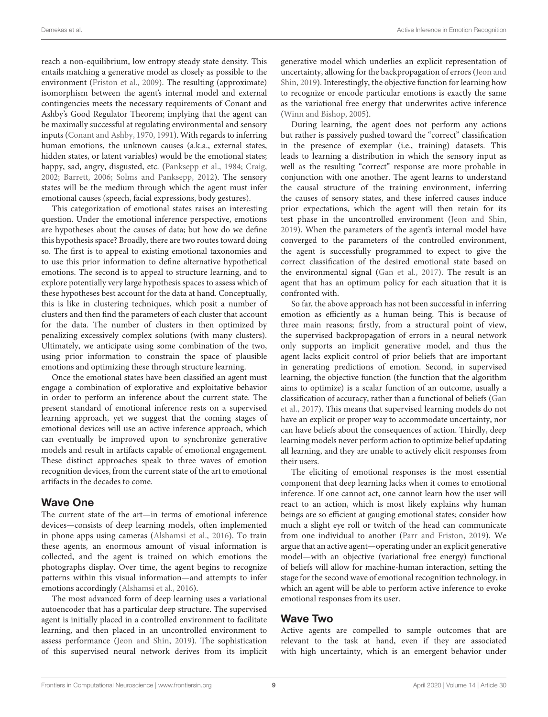reach a non-equilibrium, low entropy steady state density. This entails matching a generative model as closely as possible to the environment [\(Friston et al., 2009\)](#page-13-42). The resulting (approximate) isomorphism between the agent's internal model and external contingencies meets the necessary requirements of Conant and Ashby's Good Regulator Theorem; implying that the agent can be maximally successful at regulating environmental and sensory inputs [\(Conant and Ashby, 1970,](#page-13-13) [1991\)](#page-13-12). With regards to inferring human emotions, the unknown causes (a.k.a., external states, hidden states, or latent variables) would be the emotional states; happy, sad, angry, disgusted, etc. [\(Panksepp et al., 1984;](#page-14-34) [Craig,](#page-13-43) [2002;](#page-13-43) [Barrett, 2006;](#page-12-10) [Solms and Panksepp, 2012\)](#page-14-35). The sensory states will be the medium through which the agent must infer emotional causes (speech, facial expressions, body gestures).

This categorization of emotional states raises an interesting question. Under the emotional inference perspective, emotions are hypotheses about the causes of data; but how do we define this hypothesis space? Broadly, there are two routes toward doing so. The first is to appeal to existing emotional taxonomies and to use this prior information to define alternative hypothetical emotions. The second is to appeal to structure learning, and to explore potentially very large hypothesis spaces to assess which of these hypotheses best account for the data at hand. Conceptually, this is like in clustering techniques, which posit a number of clusters and then find the parameters of each cluster that account for the data. The number of clusters in then optimized by penalizing excessively complex solutions (with many clusters). Ultimately, we anticipate using some combination of the two, using prior information to constrain the space of plausible emotions and optimizing these through structure learning.

Once the emotional states have been classified an agent must engage a combination of explorative and exploitative behavior in order to perform an inference about the current state. The present standard of emotional inference rests on a supervised learning approach, yet we suggest that the coming stages of emotional devices will use an active inference approach, which can eventually be improved upon to synchronize generative models and result in artifacts capable of emotional engagement. These distinct approaches speak to three waves of emotion recognition devices, from the current state of the art to emotional artifacts in the decades to come.

#### Wave One

The current state of the art—in terms of emotional inference devices—consists of deep learning models, often implemented in phone apps using cameras [\(Alshamsi et al., 2016\)](#page-12-11). To train these agents, an enormous amount of visual information is collected, and the agent is trained on which emotions the photographs display. Over time, the agent begins to recognize patterns within this visual information—and attempts to infer emotions accordingly [\(Alshamsi et al., 2016\)](#page-12-11).

The most advanced form of deep learning uses a variational autoencoder that has a particular deep structure. The supervised agent is initially placed in a controlled environment to facilitate learning, and then placed in an uncontrolled environment to assess performance [\(Jeon and Shin, 2019\)](#page-13-44). The sophistication of this supervised neural network derives from its implicit generative model which underlies an explicit representation of uncertainty, allowing for the backpropagation of errors (Jeon and Shin, [2019\)](#page-13-44). Interestingly, the objective function for learning how to recognize or encode particular emotions is exactly the same as the variational free energy that underwrites active inference [\(Winn and Bishop, 2005\)](#page-15-1).

During learning, the agent does not perform any actions but rather is passively pushed toward the "correct" classification in the presence of exemplar (i.e., training) datasets. This leads to learning a distribution in which the sensory input as well as the resulting "correct" response are more probable in conjunction with one another. The agent learns to understand the causal structure of the training environment, inferring the causes of sensory states, and these inferred causes induce prior expectations, which the agent will then retain for its test phase in the uncontrolled environment [\(Jeon and Shin,](#page-13-44) [2019\)](#page-13-44). When the parameters of the agent's internal model have converged to the parameters of the controlled environment, the agent is successfully programmed to expect to give the correct classification of the desired emotional state based on the environmental signal [\(Gan et al., 2017\)](#page-13-45). The result is an agent that has an optimum policy for each situation that it is confronted with.

So far, the above approach has not been successful in inferring emotion as efficiently as a human being. This is because of three main reasons; firstly, from a structural point of view, the supervised backpropagation of errors in a neural network only supports an implicit generative model, and thus the agent lacks explicit control of prior beliefs that are important in generating predictions of emotion. Second, in supervised learning, the objective function (the function that the algorithm aims to optimize) is a scalar function of an outcome, usually a classification of accuracy, rather than a functional of beliefs (Gan et al., [2017\)](#page-13-45). This means that supervised learning models do not have an explicit or proper way to accommodate uncertainty, nor can have beliefs about the consequences of action. Thirdly, deep learning models never perform action to optimize belief updating all learning, and they are unable to actively elicit responses from their users.

The eliciting of emotional responses is the most essential component that deep learning lacks when it comes to emotional inference. If one cannot act, one cannot learn how the user will react to an action, which is most likely explains why human beings are so efficient at gauging emotional states; consider how much a slight eye roll or twitch of the head can communicate from one individual to another [\(Parr and Friston, 2019\)](#page-14-36). We argue that an active agent—operating under an explicit generative model—with an objective (variational free energy) functional of beliefs will allow for machine-human interaction, setting the stage for the second wave of emotional recognition technology, in which an agent will be able to perform active inference to evoke emotional responses from its user.

## Wave Two

Active agents are compelled to sample outcomes that are relevant to the task at hand, even if they are associated with high uncertainty, which is an emergent behavior under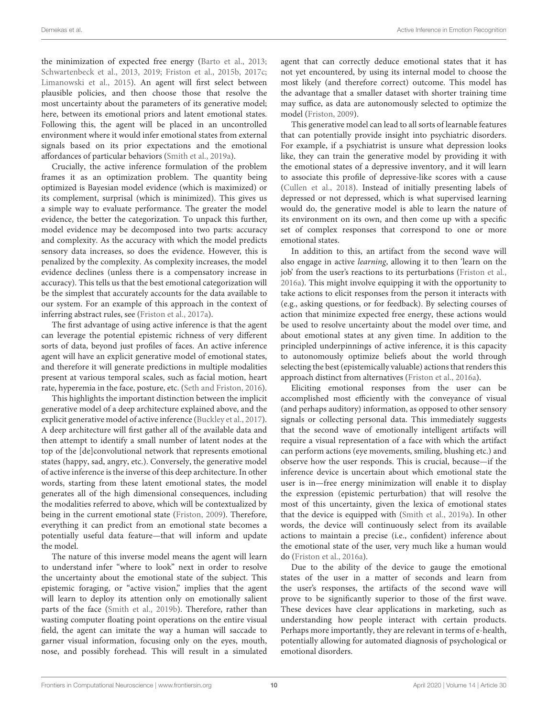the minimization of expected free energy [\(Barto et al., 2013;](#page-12-12) [Schwartenbeck et al., 2013,](#page-14-37) [2019;](#page-14-38) [Friston et al., 2015b,](#page-13-46) [2017c;](#page-13-47) [Limanowski et al., 2015\)](#page-14-23). An agent will first select between plausible policies, and then choose those that resolve the most uncertainty about the parameters of its generative model; here, between its emotional priors and latent emotional states. Following this, the agent will be placed in an uncontrolled environment where it would infer emotional states from external signals based on its prior expectations and the emotional affordances of particular behaviors [\(Smith et al., 2019a\)](#page-14-39).

Crucially, the active inference formulation of the problem frames it as an optimization problem. The quantity being optimized is Bayesian model evidence (which is maximized) or its complement, surprisal (which is minimized). This gives us a simple way to evaluate performance. The greater the model evidence, the better the categorization. To unpack this further, model evidence may be decomposed into two parts: accuracy and complexity. As the accuracy with which the model predicts sensory data increases, so does the evidence. However, this is penalized by the complexity. As complexity increases, the model evidence declines (unless there is a compensatory increase in accuracy). This tells us that the best emotional categorization will be the simplest that accurately accounts for the data available to our system. For an example of this approach in the context of inferring abstract rules, see [\(Friston et al., 2017a\)](#page-13-14).

The first advantage of using active inference is that the agent can leverage the potential epistemic richness of very different sorts of data, beyond just profiles of faces. An active inference agent will have an explicit generative model of emotional states, and therefore it will generate predictions in multiple modalities present at various temporal scales, such as facial motion, heart rate, hyperemia in the face, posture, etc. [\(Seth and Friston, 2016\)](#page-14-14).

This highlights the important distinction between the implicit generative model of a deep architecture explained above, and the explicit generative model of active inference [\(Buckley et al., 2017\)](#page-13-48). A deep architecture will first gather all of the available data and then attempt to identify a small number of latent nodes at the top of the [de]convolutional network that represents emotional states (happy, sad, angry, etc.). Conversely, the generative model of active inference is the inverse of this deep architecture. In other words, starting from these latent emotional states, the model generates all of the high dimensional consequences, including the modalities referred to above, which will be contextualized by being in the current emotional state [\(Friston, 2009\)](#page-13-2). Therefore, everything it can predict from an emotional state becomes a potentially useful data feature—that will inform and update the model.

The nature of this inverse model means the agent will learn to understand infer "where to look" next in order to resolve the uncertainty about the emotional state of the subject. This epistemic foraging, or "active vision," implies that the agent will learn to deploy its attention only on emotionally salient parts of the face [\(Smith et al., 2019b\)](#page-14-40). Therefore, rather than wasting computer floating point operations on the entire visual field, the agent can imitate the way a human will saccade to garner visual information, focusing only on the eyes, mouth, nose, and possibly forehead. This will result in a simulated agent that can correctly deduce emotional states that it has not yet encountered, by using its internal model to choose the most likely (and therefore correct) outcome. This model has the advantage that a smaller dataset with shorter training time may suffice, as data are autonomously selected to optimize the model [\(Friston, 2009\)](#page-13-2).

This generative model can lead to all sorts of learnable features that can potentially provide insight into psychiatric disorders. For example, if a psychiatrist is unsure what depression looks like, they can train the generative model by providing it with the emotional states of a depressive inventory, and it will learn to associate this profile of depressive-like scores with a cause [\(Cullen et al., 2018\)](#page-13-49). Instead of initially presenting labels of depressed or not depressed, which is what supervised learning would do, the generative model is able to learn the nature of its environment on its own, and then come up with a specific set of complex responses that correspond to one or more emotional states.

In addition to this, an artifact from the second wave will also engage in active learning, allowing it to then 'learn on the job' from the user's reactions to its perturbations [\(Friston et al.,](#page-13-50) [2016a\)](#page-13-50). This might involve equipping it with the opportunity to take actions to elicit responses from the person it interacts with (e.g., asking questions, or for feedback). By selecting courses of action that minimize expected free energy, these actions would be used to resolve uncertainty about the model over time, and about emotional states at any given time. In addition to the principled underpinnings of active inference, it is this capacity to autonomously optimize beliefs about the world through selecting the best (epistemically valuable) actions that renders this approach distinct from alternatives [\(Friston et al., 2016a\)](#page-13-50).

Eliciting emotional responses from the user can be accomplished most efficiently with the conveyance of visual (and perhaps auditory) information, as opposed to other sensory signals or collecting personal data. This immediately suggests that the second wave of emotionally intelligent artifacts will require a visual representation of a face with which the artifact can perform actions (eye movements, smiling, blushing etc.) and observe how the user responds. This is crucial, because—if the inference device is uncertain about which emotional state the user is in—free energy minimization will enable it to display the expression (epistemic perturbation) that will resolve the most of this uncertainty, given the lexica of emotional states that the device is equipped with [\(Smith et al., 2019a\)](#page-14-39). In other words, the device will continuously select from its available actions to maintain a precise (i.e., confident) inference about the emotional state of the user, very much like a human would do [\(Friston et al., 2016a\)](#page-13-50).

Due to the ability of the device to gauge the emotional states of the user in a matter of seconds and learn from the user's responses, the artifacts of the second wave will prove to be significantly superior to those of the first wave. These devices have clear applications in marketing, such as understanding how people interact with certain products. Perhaps more importantly, they are relevant in terms of e-health, potentially allowing for automated diagnosis of psychological or emotional disorders.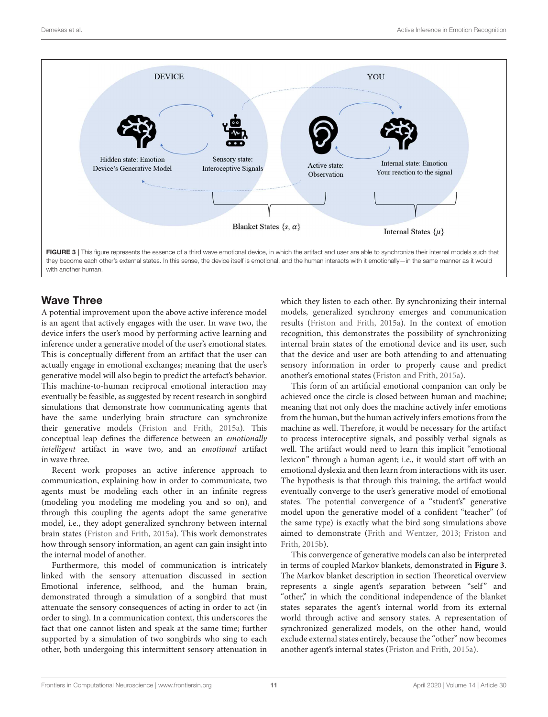

<span id="page-10-0"></span>Wave Three

A potential improvement upon the above active inference model is an agent that actively engages with the user. In wave two, the device infers the user's mood by performing active learning and inference under a generative model of the user's emotional states. This is conceptually different from an artifact that the user can actually engage in emotional exchanges; meaning that the user's generative model will also begin to predict the artefact's behavior. This machine-to-human reciprocal emotional interaction may eventually be feasible, as suggested by recent research in songbird simulations that demonstrate how communicating agents that have the same underlying brain structure can synchronize their generative models [\(Friston and Frith, 2015a\)](#page-13-18). This conceptual leap defines the difference between an emotionally intelligent artifact in wave two, and an emotional artifact in wave three.

Recent work proposes an active inference approach to communication, explaining how in order to communicate, two agents must be modeling each other in an infinite regress (modeling you modeling me modeling you and so on), and through this coupling the agents adopt the same generative model, i.e., they adopt generalized synchrony between internal brain states [\(Friston and Frith, 2015a\)](#page-13-18). This work demonstrates how through sensory information, an agent can gain insight into the internal model of another.

Furthermore, this model of communication is intricately linked with the sensory attenuation discussed in section Emotional inference, selfhood, and the human brain, demonstrated through a simulation of a songbird that must attenuate the sensory consequences of acting in order to act (in order to sing). In a communication context, this underscores the fact that one cannot listen and speak at the same time; further supported by a simulation of two songbirds who sing to each other, both undergoing this intermittent sensory attenuation in

which they listen to each other. By synchronizing their internal models, generalized synchrony emerges and communication results [\(Friston and Frith, 2015a\)](#page-13-18). In the context of emotion recognition, this demonstrates the possibility of synchronizing internal brain states of the emotional device and its user, such that the device and user are both attending to and attenuating sensory information in order to properly cause and predict another's emotional states [\(Friston and Frith, 2015a\)](#page-13-18).

This form of an artificial emotional companion can only be achieved once the circle is closed between human and machine; meaning that not only does the machine actively infer emotions from the human, but the human actively infers emotions from the machine as well. Therefore, it would be necessary for the artifact to process interoceptive signals, and possibly verbal signals as well. The artifact would need to learn this implicit "emotional lexicon" through a human agent; i.e., it would start off with an emotional dyslexia and then learn from interactions with its user. The hypothesis is that through this training, the artifact would eventually converge to the user's generative model of emotional states. The potential convergence of a "student's" generative model upon the generative model of a confident "teacher" (of the same type) is exactly what the bird song simulations above aimed to demonstrate [\(Frith and Wentzer, 2013;](#page-13-51) Friston and Frith, [2015b\)](#page-13-52).

This convergence of generative models can also be interpreted in terms of coupled Markov blankets, demonstrated in **[Figure 3](#page-10-0)**. The Markov blanket description in section Theoretical overview represents a single agent's separation between "self" and "other," in which the conditional independence of the blanket states separates the agent's internal world from its external world through active and sensory states. A representation of synchronized generalized models, on the other hand, would exclude external states entirely, because the "other" now becomes another agent's internal states [\(Friston and Frith, 2015a\)](#page-13-18).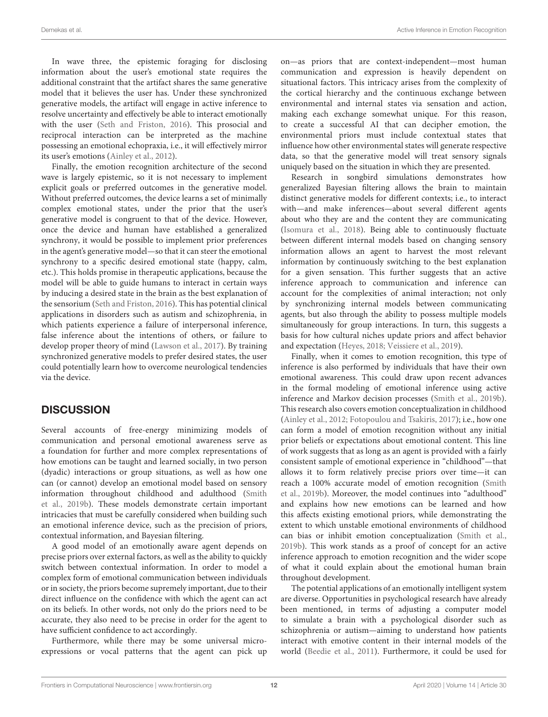In wave three, the epistemic foraging for disclosing information about the user's emotional state requires the additional constraint that the artifact shares the same generative model that it believes the user has. Under these synchronized generative models, the artifact will engage in active inference to resolve uncertainty and effectively be able to interact emotionally with the user [\(Seth and Friston, 2016\)](#page-14-14). This prosocial and reciprocal interaction can be interpreted as the machine possessing an emotional echopraxia, i.e., it will effectively mirror its user's emotions [\(Ainley et al., 2012\)](#page-12-1).

Finally, the emotion recognition architecture of the second wave is largely epistemic, so it is not necessary to implement explicit goals or preferred outcomes in the generative model. Without preferred outcomes, the device learns a set of minimally complex emotional states, under the prior that the user's generative model is congruent to that of the device. However, once the device and human have established a generalized synchrony, it would be possible to implement prior preferences in the agent's generative model—so that it can steer the emotional synchrony to a specific desired emotional state (happy, calm, etc.). This holds promise in therapeutic applications, because the model will be able to guide humans to interact in certain ways by inducing a desired state in the brain as the best explanation of the sensorium [\(Seth and Friston, 2016\)](#page-14-14). This has potential clinical applications in disorders such as autism and schizophrenia, in which patients experience a failure of interpersonal inference, false inference about the intentions of others, or failure to develop proper theory of mind [\(Lawson et al., 2017\)](#page-13-41). By training synchronized generative models to prefer desired states, the user could potentially learn how to overcome neurological tendencies via the device.

## **DISCUSSION**

Several accounts of free-energy minimizing models of communication and personal emotional awareness serve as a foundation for further and more complex representations of how emotions can be taught and learned socially, in two person (dyadic) interactions or group situations, as well as how one can (or cannot) develop an emotional model based on sensory information throughout childhood and adulthood (Smith et al., [2019b\)](#page-14-40). These models demonstrate certain important intricacies that must be carefully considered when building such an emotional inference device, such as the precision of priors, contextual information, and Bayesian filtering.

A good model of an emotionally aware agent depends on precise priors over external factors, as well as the ability to quickly switch between contextual information. In order to model a complex form of emotional communication between individuals or in society, the priors become supremely important, due to their direct influence on the confidence with which the agent can act on its beliefs. In other words, not only do the priors need to be accurate, they also need to be precise in order for the agent to have sufficient confidence to act accordingly.

Furthermore, while there may be some universal microexpressions or vocal patterns that the agent can pick up on—as priors that are context-independent—most human communication and expression is heavily dependent on situational factors. This intricacy arises from the complexity of the cortical hierarchy and the continuous exchange between environmental and internal states via sensation and action, making each exchange somewhat unique. For this reason, to create a successful AI that can decipher emotion, the environmental priors must include contextual states that influence how other environmental states will generate respective data, so that the generative model will treat sensory signals uniquely based on the situation in which they are presented.

Research in songbird simulations demonstrates how generalized Bayesian filtering allows the brain to maintain distinct generative models for different contexts; i.e., to interact with—and make inferences—about several different agents about who they are and the content they are communicating [\(Isomura et al., 2018\)](#page-13-53). Being able to continuously fluctuate between different internal models based on changing sensory information allows an agent to harvest the most relevant information by continuously switching to the best explanation for a given sensation. This further suggests that an active inference approach to communication and inference can account for the complexities of animal interaction; not only by synchronizing internal models between communicating agents, but also through the ability to possess multiple models simultaneously for group interactions. In turn, this suggests a basis for how cultural niches update priors and affect behavior and expectation [\(Heyes, 2018;](#page-13-29) [Veissiere et al., 2019\)](#page-14-41).

Finally, when it comes to emotion recognition, this type of inference is also performed by individuals that have their own emotional awareness. This could draw upon recent advances in the formal modeling of emotional inference using active inference and Markov decision processes [\(Smith et al., 2019b\)](#page-14-40). This research also covers emotion conceptualization in childhood [\(Ainley et al., 2012;](#page-12-1) [Fotopoulou and Tsakiris, 2017\)](#page-13-17); i.e., how one can form a model of emotion recognition without any initial prior beliefs or expectations about emotional content. This line of work suggests that as long as an agent is provided with a fairly consistent sample of emotional experience in "childhood"—that allows it to form relatively precise priors over time—it can reach a 100% accurate model of emotion recognition (Smith et al., [2019b\)](#page-14-40). Moreover, the model continues into "adulthood" and explains how new emotions can be learned and how this affects existing emotional priors, while demonstrating the extent to which unstable emotional environments of childhood can bias or inhibit emotion conceptualization [\(Smith et al.,](#page-14-40) [2019b\)](#page-14-40). This work stands as a proof of concept for an active inference approach to emotion recognition and the wider scope of what it could explain about the emotional human brain throughout development.

The potential applications of an emotionally intelligent system are diverse. Opportunities in psychological research have already been mentioned, in terms of adjusting a computer model to simulate a brain with a psychological disorder such as schizophrenia or autism—aiming to understand how patients interact with emotive content in their internal models of the world [\(Beedie et al., 2011\)](#page-12-7). Furthermore, it could be used for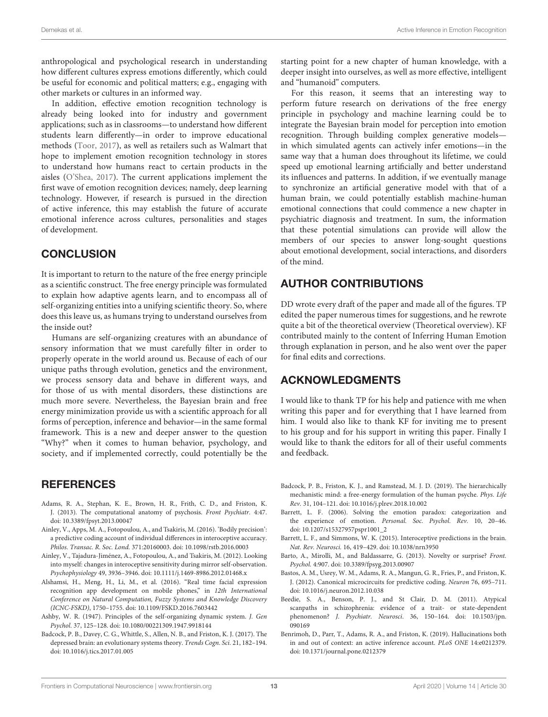anthropological and psychological research in understanding how different cultures express emotions differently, which could be useful for economic and political matters; e.g., engaging with other markets or cultures in an informed way.

In addition, effective emotion recognition technology is already being looked into for industry and government applications; such as in classrooms—to understand how different students learn differently—in order to improve educational methods [\(Toor, 2017\)](#page-14-42), as well as retailers such as Walmart that hope to implement emotion recognition technology in stores to understand how humans react to certain products in the aisles [\(O'Shea, 2017\)](#page-14-43). The current applications implement the first wave of emotion recognition devices; namely, deep learning technology. However, if research is pursued in the direction of active inference, this may establish the future of accurate emotional inference across cultures, personalities and stages of development.

# **CONCLUSION**

It is important to return to the nature of the free energy principle as a scientific construct. The free energy principle was formulated to explain how adaptive agents learn, and to encompass all of self-organizing entities into a unifying scientific theory. So, where does this leave us, as humans trying to understand ourselves from the inside out?

Humans are self-organizing creatures with an abundance of sensory information that we must carefully filter in order to properly operate in the world around us. Because of each of our unique paths through evolution, genetics and the environment, we process sensory data and behave in different ways, and for those of us with mental disorders, these distinctions are much more severe. Nevertheless, the Bayesian brain and free energy minimization provide us with a scientific approach for all forms of perception, inference and behavior—in the same formal framework. This is a new and deeper answer to the question "Why?" when it comes to human behavior, psychology, and society, and if implemented correctly, could potentially be the

## **REFERENCES**

- <span id="page-12-8"></span>Adams, R. A., Stephan, K. E., Brown, H. R., Frith, C. D., and Friston, K. J. (2013). The computational anatomy of psychosis. Front Psychiatr. 4:47. doi: [10.3389/fpsyt.2013.00047](https://doi.org/10.3389/fpsyt.2013.00047)
- <span id="page-12-2"></span>Ainley, V., Apps, M. A., Fotopoulou, A., and Tsakiris, M. (2016). 'Bodily precision': a predictive coding account of individual differences in interoceptive accuracy. Philos. Transac. R. Soc. Lond. 371:20160003. doi: [10.1098/rstb.2016.0003](https://doi.org/10.1098/rstb.2016.0003)
- <span id="page-12-1"></span>Ainley, V., Tajadura-Jiménez, A., Fotopoulou, A., and Tsakiris, M. (2012). Looking into myself: changes in interoceptive sensitivity during mirror self-observation. Psychophysiology 49, 3936–3946. doi: [10.1111/j.1469-8986.2012.01468.x](https://doi.org/10.1111/j.1469-8986.2012.01468.x)
- <span id="page-12-11"></span>Alshamsi, H., Meng, H., Li, M., et al. (2016). "Real time facial expression recognition app development on mobile phones," in 12th International Conference on Natural Computation, Fuzzy Systems and Knowledge Discovery (ICNC-FSKD), 1750–1755. doi: [10.1109/FSKD.2016.7603442](https://doi.org/10.1109/FSKD.2016.7603442)
- <span id="page-12-0"></span>Ashby, W. R. (1947). Principles of the self-organizing dynamic system. J. Gen Psychol. 37, 125–128. doi: [10.1080/00221309.1947.9918144](https://doi.org/10.1080/00221309.1947.9918144)
- <span id="page-12-6"></span>Badcock, P. B., Davey, C. G., Whittle, S., Allen, N. B., and Friston, K. J. (2017). The depressed brain: an evolutionary systems theory. Trends Cogn. Sci. 21, 182–194. doi: [10.1016/j.tics.2017.01.005](https://doi.org/10.1016/j.tics.2017.01.005)

starting point for a new chapter of human knowledge, with a deeper insight into ourselves, as well as more effective, intelligent and "humanoid" computers.

For this reason, it seems that an interesting way to perform future research on derivations of the free energy principle in psychology and machine learning could be to integrate the Bayesian brain model for perception into emotion recognition. Through building complex generative models in which simulated agents can actively infer emotions—in the same way that a human does throughout its lifetime, we could speed up emotional learning artificially and better understand its influences and patterns. In addition, if we eventually manage to synchronize an artificial generative model with that of a human brain, we could potentially establish machine-human emotional connections that could commence a new chapter in psychiatric diagnosis and treatment. In sum, the information that these potential simulations can provide will allow the members of our species to answer long-sought questions about emotional development, social interactions, and disorders of the mind.

# AUTHOR CONTRIBUTIONS

DD wrote every draft of the paper and made all of the figures. TP edited the paper numerous times for suggestions, and he rewrote quite a bit of the theoretical overview (Theoretical overview). KF contributed mainly to the content of Inferring Human Emotion through explanation in person, and he also went over the paper for final edits and corrections.

## ACKNOWLEDGMENTS

I would like to thank TP for his help and patience with me when writing this paper and for everything that I have learned from him. I would also like to thank KF for inviting me to present to his group and for his support in writing this paper. Finally I would like to thank the editors for all of their useful comments and feedback.

- <span id="page-12-4"></span>Badcock, P. B., Friston, K. J., and Ramstead, M. J. D. (2019). The hierarchically mechanistic mind: a free-energy formulation of the human psyche. Phys. Life Rev. 31, 104–121. doi: [10.1016/j.plrev.2018.10.002](https://doi.org/10.1016/j.plrev.2018.10.002)
- <span id="page-12-10"></span>Barrett, L. F. (2006). Solving the emotion paradox: categorization and the experience of emotion. Personal. Soc. Psychol. Rev. 10, 20–46. doi: [10.1207/s15327957pspr1001\\_2](https://doi.org/10.1207/s15327957pspr1001_2)
- <span id="page-12-3"></span>Barrett, L. F., and Simmons, W. K. (2015). Interoceptive predictions in the brain. Nat. Rev. Neurosci. 16, 419–429. doi: [10.1038/nrn3950](https://doi.org/10.1038/nrn3950)
- <span id="page-12-12"></span>Barto, A., Mirolli, M., and Baldassarre, G. (2013). Novelty or surprise? Front. Psychol. 4:907. doi: [10.3389/fpsyg.2013.00907](https://doi.org/10.3389/fpsyg.2013.00907)
- <span id="page-12-5"></span>Bastos, A. M., Usrey, W. M., Adams, R. A., Mangun, G. R., Fries, P., and Friston, K. J. (2012). Canonical microcircuits for predictive coding. Neuron 76, 695–711. doi: [10.1016/j.neuron.2012.10.038](https://doi.org/10.1016/j.neuron.2012.10.038)
- <span id="page-12-7"></span>Beedie, S. A., Benson, P. J., and St Clair, D. M. (2011). Atypical scanpaths in schizophrenia: evidence of a trait- or state-dependent phenomenon? J. Psychiatr. Neurosci[. 36, 150–164. doi: 10.1503/jpn.](https://doi.org/10.1503/jpn.090169) 090169
- <span id="page-12-9"></span>Benrimoh, D., Parr, T., Adams, R. A., and Friston, K. (2019). Hallucinations both in and out of context: an active inference account. PLoS ONE 14:e0212379. doi: [10.1371/journal.pone.0212379](https://doi.org/10.1371/journal.pone.0212379)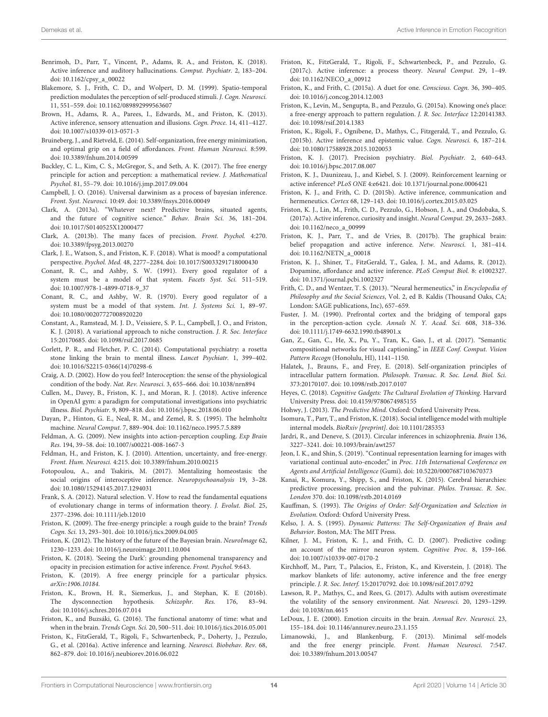- <span id="page-13-39"></span>Benrimoh, D., Parr, T., Vincent, P., Adams, R. A., and Friston, K. (2018). Active inference and auditory hallucinations. Comput. Psychiatr. 2, 183–204. doi: [10.1162/cpsy\\_a\\_00022](https://doi.org/10.1162/cpsy_a_00022)
- <span id="page-13-37"></span>Blakemore, S. J., Frith, C. D., and Wolpert, D. M. (1999). Spatio-temporal prediction modulates the perception of self-produced stimuli. J. Cogn. Neurosci. 11, 551–559. doi: [10.1162/089892999563607](https://doi.org/10.1162/089892999563607)
- <span id="page-13-38"></span>Brown, H., Adams, R. A., Parees, I., Edwards, M., and Friston, K. (2013). Active inference, sensory attenuation and illusions. Cogn. Proce. 14, 411–4127. doi: [10.1007/s10339-013-0571-3](https://doi.org/10.1007/s10339-013-0571-3)
- <span id="page-13-6"></span>Bruineberg, J., and Rietveld, E. (2014). Self-organization, free energy minimization, and optimal grip on a field of affordances. Front. Human Neurosci. 8:599. doi: [10.3389/fnhum.2014.00599](https://doi.org/10.3389/fnhum.2014.00599)
- <span id="page-13-48"></span>Buckley, C. L., Kim, C. S., McGregor, S., and Seth, A. K. (2017). The free energy principle for action and perception: a mathematical review. J. Mathematical Psychol. 81, 55–79. doi: [10.1016/j.jmp.2017.09.004](https://doi.org/10.1016/j.jmp.2017.09.004)
- <span id="page-13-32"></span>Campbell, J. O. (2016). Universal darwinism as a process of bayesian inference. Front. Syst. Neurosci. 10:49. doi: [10.3389/fnsys.2016.00049](https://doi.org/10.3389/fnsys.2016.00049)
- <span id="page-13-34"></span>Clark, A. (2013a). "Whatever next? Predictive brains, situated agents, and the future of cognitive science." Behav. Brain Sci. 36, 181–204. doi: [10.1017/S0140525X12000477](https://doi.org/10.1017/S0140525X12000477)
- <span id="page-13-24"></span>Clark, A. (2013b). The many faces of precision. Front. Psychol. 4:270. doi: [10.3389/fpsyg.2013.00270](https://doi.org/10.3389/fpsyg.2013.00270)
- <span id="page-13-36"></span>Clark, J. E., Watson, S., and Friston, K. F. (2018). What is mood? a computational perspective. Psychol. Med. 48, 2277–2284. doi: [10.1017/S0033291718000430](https://doi.org/10.1017/S0033291718000430)
- <span id="page-13-12"></span>Conant, R. C., and Ashby, S. W. (1991). Every good regulator of a system must be a model of that system. Facets Syst. Sci. 511–519. doi: [10.1007/978-1-4899-0718-9\\_37](https://doi.org/10.1007/978-1-4899-0718-9_37)
- <span id="page-13-13"></span>Conant, R. C., and Ashby, W. R. (1970). Every good regulator of a system must be a model of that system. Int. J. Systems Sci. 1, 89–97. doi: [10.1080/00207727008920220](https://doi.org/10.1080/00207727008920220)
- <span id="page-13-28"></span>Constant, A., Ramstead, M. J. D., Veissiere, S. P. L., Campbell, J. O., and Friston, K. J. (2018). A variational approach to niche construction. J. R. Soc. Interface 15:20170685. doi: [10.1098/rsif.2017.0685](https://doi.org/10.1098/rsif.2017.0685)
- <span id="page-13-19"></span>Corlett, P. R., and Fletcher, P. C. (2014). Computational psychiatry: a rosetta stone linking the brain to mental illness. Lancet Psychiatr. 1, 399–402. doi: [10.1016/S2215-0366\(14\)70298-6](https://doi.org/10.1016/S2215-0366(14)70298-6)
- <span id="page-13-43"></span>Craig, A. D. (2002). How do you feel? Interoception: the sense of the physiological condition of the body. Nat. Rev. Neurosci. 3, 655–666. doi: [10.1038/nrn894](https://doi.org/10.1038/nrn894)
- <span id="page-13-49"></span>Cullen, M., Davey, B., Friston, K. J., and Moran, R. J. (2018). Active inference in OpenAI gym: a paradigm for computational investigations into psychiatric illness. Biol. Psychiatr. 9, 809–818. doi: [10.1016/j.bpsc.2018.06.010](https://doi.org/10.1016/j.bpsc.2018.06.010)
- <span id="page-13-1"></span>Dayan, P., Hinton, G. E., Neal, R. M., and Zemel, R. S. (1995). The helmholtz machine. Neural Comput. 7, 889–904. doi: [10.1162/neco.1995.7.5.889](https://doi.org/10.1162/neco.1995.7.5.889)
- <span id="page-13-11"></span>Feldman, A. G. (2009). New insights into action-perception coupling. Exp Brain Res. 194, 39–58. doi: [10.1007/s00221-008-1667-3](https://doi.org/10.1007/s00221-008-1667-3)
- <span id="page-13-26"></span>Feldman, H., and Friston, K. J. (2010). Attention, uncertainty, and free-energy. Front. Hum. Neurosci. 4:215. doi: [10.3389/fnhum.2010.00215](https://doi.org/10.3389/fnhum.2010.00215)
- <span id="page-13-17"></span>Fotopoulou, A., and Tsakiris, M. (2017). Mentalizing homeostasis: the social origins of interoceptive inference. Neuropsychoanalysis 19, 3–28. doi: [10.1080/15294145.2017.1294031](https://doi.org/10.1080/15294145.2017.1294031)
- <span id="page-13-31"></span>Frank, S. A. (2012). Natural selection. V. How to read the fundamental equations of evolutionary change in terms of information theory. J. Evolut. Biol. 25, 2377–2396. doi: [10.1111/jeb.12010](https://doi.org/10.1111/jeb.12010)
- <span id="page-13-2"></span>Friston, K. (2009). The free-energy principle: a rough guide to the brain? Trends Cogn. Sci. 13, 293–301. doi: [10.1016/j.tics.2009.04.005](https://doi.org/10.1016/j.tics.2009.04.005)
- <span id="page-13-0"></span>Friston, K. (2012). The history of the future of the Bayesian brain. NeuroImage 62, 1230–1233. doi: [10.1016/j.neuroimage.2011.10.004](https://doi.org/10.1016/j.neuroimage.2011.10.004)
- <span id="page-13-9"></span>Friston, K. (2018). 'Seeing the Dark': grounding phenomenal transparency and opacity in precision estimation for active inference. Front. Psychol. 9:643.
- <span id="page-13-8"></span>Friston, K. (2019). A free energy principle for a particular physics. arXiv:1906.10184.
- <span id="page-13-21"></span>Friston, K., Brown, H. R., Siemerkus, J., and Stephan, K. E (2016b). The dysconnection hypothesis. Schizophr. Res. 176, 83–94. doi: [10.1016/j.schres.2016.07.014](https://doi.org/10.1016/j.schres.2016.07.014)
- <span id="page-13-10"></span>Friston, K., and Buzsáki, G. (2016). The functional anatomy of time: what and when in the brain. Trends Cogn. Sci. 20, 500–511. doi: [10.1016/j.tics.2016.05.001](https://doi.org/10.1016/j.tics.2016.05.001)
- <span id="page-13-50"></span>Friston, K., FitzGerald, T., Rigoli, F., Schwartenbeck, P., Doherty, J., Pezzulo, G., et al. (2016a). Active inference and learning. Neurosci. Biobehav. Rev. 68, 862–879. doi: [10.1016/j.neubiorev.2016.06.022](https://doi.org/10.1016/j.neubiorev.2016.06.022)
- <span id="page-13-47"></span>Friston, K., FitzGerald, T., Rigoli, F., Schwartenbeck, P., and Pezzulo, G. (2017c). Active inference: a process theory. Neural Comput. 29, 1–49. doi: [10.1162/NECO\\_a\\_00912](https://doi.org/10.1162/NECO_a_00912)
- <span id="page-13-18"></span>Friston, K., and Frith, C. (2015a). A duet for one. Conscious. Cogn. 36, 390–405. doi: [10.1016/j.concog.2014.12.003](https://doi.org/10.1016/j.concog.2014.12.003)
- <span id="page-13-27"></span>Friston, K., Levin, M., Sengupta, B., and Pezzulo, G. (2015a). Knowing one's place: a free-energy approach to pattern regulation. J. R. Soc. Interface 12:20141383. doi: [10.1098/rsif.2014.1383](https://doi.org/10.1098/rsif.2014.1383)
- <span id="page-13-46"></span>Friston, K., Rigoli, F., Ognibene, D., Mathys, C., Fitzgerald, T., and Pezzulo, G. (2015b). Active inference and epistemic value. Cogn. Neurosci. 6, 187–214. doi: [10.1080/17588928.2015.1020053](https://doi.org/10.1080/17588928.2015.1020053)
- <span id="page-13-20"></span>Friston, K. J. (2017). Precision psychiatry. Biol. Psychiatr. 2, 640–643. doi: [10.1016/j.bpsc.2017.08.007](https://doi.org/10.1016/j.bpsc.2017.08.007)
- <span id="page-13-42"></span>Friston, K. J., Daunizeau, J., and Kiebel, S. J. (2009). Reinforcement learning or active inference? PLoS ONE 4:e6421. doi: [10.1371/journal.pone.0006421](https://doi.org/10.1371/journal.pone.0006421)
- <span id="page-13-52"></span>Friston, K. J., and Frith, C. D. (2015b). Active inference, communication and hermeneutics. Cortex 68, 129–143. doi: [10.1016/j.cortex.2015.03.025](https://doi.org/10.1016/j.cortex.2015.03.025)
- <span id="page-13-14"></span>Friston, K. J., Lin, M., Frith, C. D., Pezzulo, G., Hobson, J. A., and Ondobaka, S. (2017a). Active inference, curiosity and insight. Neural Comput. 29, 2633–2683. doi: [10.1162/neco\\_a\\_00999](https://doi.org/10.1162/neco_a_00999)
- <span id="page-13-22"></span>Friston, K. J., Parr, T., and de Vries, B. (2017b). The graphical brain: belief propagation and active inference. Netw. Neurosci. 1, 381–414. doi: [10.1162/NETN\\_a\\_00018](https://doi.org/10.1162/NETN_a_00018)
- <span id="page-13-33"></span>Friston, K. J., Shiner, T., FitzGerald, T., Galea, J. M., and Adams, R. (2012). Dopamine, affordance and active inference. PLoS Comput Biol. 8: e1002327. doi: [10.1371/journal.pcbi.1002327](https://doi.org/10.1371/journal.pcbi.1002327)
- <span id="page-13-51"></span>Frith, C. D., and Wentzer, T. S. (2013). "Neural hermeneutics," in Encyclopedia of Philosophy and the Social Sciences, Vol. 2, ed B. Kaldis (Thousand Oaks, CA; London: SAGE publications, Inc), 657–659.
- <span id="page-13-15"></span>Fuster, J. M. (1990). Prefrontal cortex and the bridging of temporal gaps in the perception-action cycle. Annals N. Y. Acad. Sci. 608, 318–336. doi: [10.1111/j.1749-6632.1990.tb48901.x](https://doi.org/10.1111/j.1749-6632.1990.tb48901.x)
- <span id="page-13-45"></span>Gan, Z., Gan, C., He, X., Pu, Y., Tran, K., Gao, J., et al. (2017). "Semantic compositional networks for visual captioning," in IEEE Conf. Comput. Vision Pattern Recogn (Honolulu, HI), 1141–1150.
- <span id="page-13-7"></span>Halatek, J., Brauns, F., and Frey, E. (2018). Self-organization principles of intracellular pattern formation. Philosoph. Transac. R. Soc. Lond. Biol. Sci. 373:20170107. doi: [10.1098/rstb.2017.0107](https://doi.org/10.1098/rstb.2017.0107)
- <span id="page-13-29"></span>Heyes, C. (2018). Cognitive Gadgets: The Cultural Evolution of Thinking. Harvard University Press. doi: [10.4159/9780674985155](https://doi.org/10.4159/9780674985155)
- <span id="page-13-35"></span>Hohwy, J. (2013). The Predictive Mind. Oxford: Oxford University Press.
- <span id="page-13-53"></span>Isomura, T., Parr, T., and Friston, K. (2018). Social intelligence model with multiple internal models. BioRxiv [preprint]. doi: [10.1101/285353](https://doi.org/10.1101/285353)
- <span id="page-13-40"></span>Jardri, R., and Deneve, S. (2013). Circular inferences in schizophrenia. Brain 136, 3227–3241. doi: [10.1093/brain/awt257](https://doi.org/10.1093/brain/awt257)
- <span id="page-13-44"></span>Jeon, I. K., and Shin, S. (2019). "Continual representation learning for images with variational continual auto-encoder," in Proc. 11th International Conference on Agents and Artificial Intelligence (Gumi). doi: [10.5220/0007687103670373](https://doi.org/10.5220/0007687103670373)
- <span id="page-13-23"></span>Kanai, R., Komura, Y., Shipp, S., and Friston, K. (2015). Cerebral hierarchies: predictive processing, precision and the pulvinar. Philos. Transac. R. Soc. London 370. doi: [10.1098/rstb.2014.0169](https://doi.org/10.1098/rstb.2014.0169)
- <span id="page-13-4"></span>Kauffman, S. (1993). The Origins of Order: Self-Organization and Selection in Evolution. Oxford: Oxford University Press.
- <span id="page-13-5"></span>Kelso, J. A. S. (1995). Dynamic Patterns: The Self-Organization of Brain and Behavior. Boston, MA: The MIT Press.
- <span id="page-13-25"></span>Kilner, J. M., Friston, K. J., and Frith, C. D. (2007). Predictive coding: an account of the mirror neuron system. Cognitive Proc. 8, 159–166. doi: [10.1007/s10339-007-0170-2](https://doi.org/10.1007/s10339-007-0170-2)
- <span id="page-13-30"></span>Kirchhoff, M., Parr, T., Palacios, E., Friston, K., and Kiverstein, J. (2018). The markov blankets of life: autonomy, active inference and the free energy principle. J. R. Soc. Interf. 15:20170792. doi: [10.1098/rsif.2017.0792](https://doi.org/10.1098/rsif.2017.0792)
- <span id="page-13-41"></span>Lawson, R. P., Mathys, C., and Rees, G. (2017). Adults with autism overestimate the volatility of the sensory environment. Nat. Neurosci. 20, 1293–1299. doi: [10.1038/nn.4615](https://doi.org/10.1038/nn.4615)
- <span id="page-13-3"></span>LeDoux, J. E. (2000). Emotion circuits in the brain. Annual Rev. Neurosci. 23, 155–184. doi: [10.1146/annurev.neuro.23.1.155](https://doi.org/10.1146/annurev.neuro.23.1.155)
- <span id="page-13-16"></span>Limanowski, J., and Blankenburg, F. (2013). Minimal self-models and the free energy principle. Front. Human Neurosci. 7:547. doi: [10.3389/fnhum.2013.00547](https://doi.org/10.3389/fnhum.2013.00547)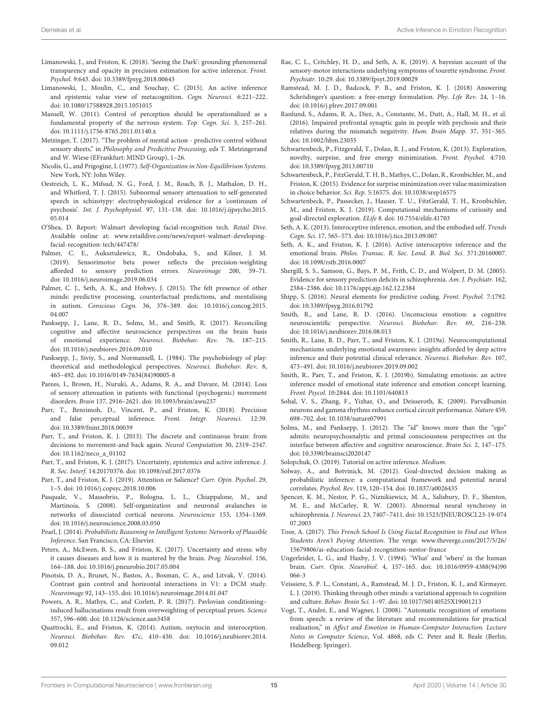- <span id="page-14-17"></span>Limanowski, J., and Friston, K. (2018). 'Seeing the Dark': grounding phenomenal transparency and opacity in precision estimation for active inference. Front. Psychol. 9:643. doi: [10.3389/fpsyg.2018.00643](https://doi.org/10.3389/fpsyg.2018.00643)
- <span id="page-14-23"></span>Limanowski, J., Moulin, C., and Souchay, C. (2015). An active inference and epistemic value view of metacognition. Cogn. Neurosci. 6:221–222. doi: [10.1080/17588928.2015.1051015](https://doi.org/10.1080/17588928.2015.1051015)
- <span id="page-14-10"></span>Mansell, W. (2011). Control of perception should be operationalized as a fundamental property of the nervous system. Top. Cogn. Sci. 3, 257–261. doi: [10.1111/j.1756-8765.2011.01140.x](https://doi.org/10.1111/j.1756-8765.2011.01140.x)
- <span id="page-14-9"></span>Metzinger, T. (2017). "The problem of mental action - predictive control without sensory sheets," in Philosophy and Predicitive Processing, eds T. Metzingerand and W. Wiese (EFrankfurt: MIND Group), 1–26.
- <span id="page-14-7"></span>Nicolis, G., and Prigogine, I. (1977). Self-Organization in Non-Equilibrium Systems. New York, NY: John Wiley.
- <span id="page-14-28"></span>Oestreich, L. K., Mifsud, N. G., Ford, J. M., Roach, B. J., Mathalon, D. H., and Whitford, T. J. (2015). Subnormal sensory attenuation to self-generated speech in schizotypy: electrophysiological evidence for a 'continuum of psychosis'. Int. J. Psychophysiol. [97, 131–138. doi: 10.1016/j.ijpsycho.2015.](https://doi.org/10.1016/j.ijpsycho.2015.05.014) 05.014
- <span id="page-14-43"></span>O'Shea, D. Report: Walmart developing facial-recognition tech. Retail Dive. Available online at: [www.retaildive.com/news/report-walmart-developing](www.retaildive.com/news/report-walmart-developing-facial-recognition-tech/447478/)[facial-recognition-tech/447478/](www.retaildive.com/news/report-walmart-developing-facial-recognition-tech/447478/)
- <span id="page-14-25"></span>Palmer, C. E., Auksztulewicz, R., Ondobaka, S., and Kilner, J. M. (2019). Sensorimotor beta power reflects the precision-weighting afforded to sensory prediction errors. Neuroimage 200, 59–71. doi: [10.1016/j.neuroimage.2019.06.034](https://doi.org/10.1016/j.neuroimage.2019.06.034)
- <span id="page-14-15"></span>Palmer, C. J., Seth, A. K., and Hohwy, J. (2015). The felt presence of other minds: predictive processing, counterfactual predictions, and mentalising in autism. Conscious Cogn. [36, 376–389. doi: 10.1016/j.concog.2015.](https://doi.org/10.1016/j.concog.2015.04.007) 04.007
- <span id="page-14-6"></span>Panksepp, J., Lane, R. D., Solms, M., and Smith, R. (2017). Reconciling cognitive and affective neuroscience perspectives on the brain basis of emotional experience. Neurosci. Biobehav. Rev. 76, 187–215. doi: [10.1016/j.neubiorev.2016.09.010](https://doi.org/10.1016/j.neubiorev.2016.09.010)
- <span id="page-14-34"></span>Panksepp, J., Siviy, S., and Normansell, L. (1984). The psychobiology of play: theoretical and methodological perspectives. Neurosci. Biobehav. Rev. 8, 465–492. doi: [10.1016/0149-7634\(84\)90005-8](https://doi.org/10.1016/0149-7634(84)90005-8)
- <span id="page-14-27"></span>Parees, I., Brown, H., Nuruki, A., Adams, R. A., and Davare, M. (2014). Loss of sensory attenuation in patients with functional (psychogenic) movement disorders. Brain 137, 2916–2621. doi: [10.1093/brain/awu237](https://doi.org/10.1093/brain/awu237)
- <span id="page-14-30"></span>Parr, T., Benrimoh, D., Vincent, P., and Friston, K. (2018). Precision and false perceptual inference. Front. Integr. Neurosci. 12:39. doi: [10.3389/fnint.2018.00039](https://doi.org/10.3389/fnint.2018.00039)
- <span id="page-14-21"></span>Parr, T., and Friston, K. J. (2013). The discrete and continuous brain: from decisions to movement-and back again. Neural Computation 30, 2319–2347. doi: [10.1162/neco\\_a\\_01102](https://doi.org/10.1162/neco_a_01102)
- <span id="page-14-12"></span>Parr, T., and Friston, K. J. (2017). Uncertainty, epistemics and active inference. J. R. Soc. Interf. 14:20170376. doi: [10.1098/rsif.2017.0376](https://doi.org/10.1098/rsif.2017.0376)
- <span id="page-14-36"></span>Parr, T., and Friston, K. J. (2019). Attention or Salience? Curr. Opin. Psychol. 29, 1–5. doi: [10.1016/j.copsyc.2018.10.006](https://doi.org/10.1016/j.copsyc.2018.10.006)
- <span id="page-14-8"></span>Pasquale, V., Massobrio, P., Bologna, L. L., Chiappalone, M., and Martinoia, S. (2008). Self-organization and neuronal avalanches in networks of dissociated cortical neurons. Neuroscience 153, 1354–1369. doi: [10.1016/j.neuroscience.2008.03.050](https://doi.org/10.1016/j.neuroscience.2008.03.050)
- <span id="page-14-2"></span>Pearl, J. (2014). Probabilistic Reasoning in Intelligent Systems: Networks of Plausible Inference. San Francisco, CA: Elsevier.
- <span id="page-14-24"></span>Peters, A., McEwen, B. S., and Friston, K. (2017). Uncertainty and stress: why it causes diseases and how it is mastered by the brain. Prog. Neurobiol. 156, 164–188. doi: [10.1016/j.pneurobio.2017.05.004](https://doi.org/10.1016/j.pneurobio.2017.05.004)
- <span id="page-14-20"></span>Pinotsis, D. A., Brunet, N., Bastos, A., Bosman, C. A., and Litvak, V. (2014). Contrast gain control and horizontal interactions in V1: a DCM study. Neuroimage 92, 143–155. doi: [10.1016/j.neuroimage.2014.01.047](https://doi.org/10.1016/j.neuroimage.2014.01.047)
- <span id="page-14-16"></span>Powers, A. R., Mathys, C., and Corlett, P. R. (2017). Pavlovian conditioning– induced hallucinations result from overweighting of perceptual priors. Science 357, 596–600. doi: [10.1126/science.aan3458](https://doi.org/10.1126/science.aan3458)
- <span id="page-14-29"></span>Quattrocki, E., and Friston, K. (2014). Autism, oxytocin and interoception. Neurosci. Biobehav. Rev. [47c, 410–430. doi: 10.1016/j.neubiorev.2014.](https://doi.org/10.1016/j.neubiorev.2014.09.012) 09.012
- <span id="page-14-18"></span>Rae, C. L., Critchley, H. D., and Seth, A. K. (2019). A bayesian account of the sensory-motor interactions underlying symptoms of tourette syndrome. Front. Psychiatr. 10:29. doi: [10.3389/fpsyt.2019.00029](https://doi.org/10.3389/fpsyt.2019.00029)
- <span id="page-14-3"></span>Ramstead, M. J. D., Badcock, P. B., and Friston, K. J. (2018) Answering Schrödinger's question: a free-energy formulation. Phy. Life Rev. 24, 1–16. doi: [10.1016/j.plrev.2017.09.001](https://doi.org/10.1016/j.plrev.2017.09.001)
- <span id="page-14-33"></span>Ranlund, S., Adams, R. A., Diez, A., Constante, M., Dutt, A., Hall, M. H., et al. (2016). Impaired prefrontal synaptic gain in people with psychosis and their relatives during the mismatch negativity. Hum. Brain Mapp. 37, 351–365. doi: [10.1002/hbm.23035](https://doi.org/10.1002/hbm.23035)
- <span id="page-14-37"></span>Schwartenbeck, P., Fitzgerald, T., Dolan, R. J., and Friston, K. (2013). Exploration, novelty, surprise, and free energy minimization. Front. Psychol. 4:710. doi: [10.3389/fpsyg.2013.00710](https://doi.org/10.3389/fpsyg.2013.00710)
- <span id="page-14-0"></span>Schwartenbeck, P., FitzGerald, T. H. B., Mathys, C., Dolan, R., Kronbichler, M., and Friston, K. (2015). Evidence for surprise minimization over value maximization in choice behavior. Sci. Rep. 5:16575. doi: [10.1038/srep16575](https://doi.org/10.1038/srep16575)
- <span id="page-14-38"></span>Schwartenbeck, P., Passecker, J., Hauser, T. U., FitzGerald, T. H., Kronbichler, M., and Friston, K. J. (2019). Computational mechanisms of curiosity and goal-directed exploration. ELife 8. doi: [10.7554/elife.41703](https://doi.org/10.7554/elife.41703)
- <span id="page-14-4"></span>Seth, A. K. (2013). Interoceptive inference, emotion, and the embodied self. Trends Cogn. Sci. 17, 565–573. doi: [10.1016/j.tics.2013.09.007](https://doi.org/10.1016/j.tics.2013.09.007)
- <span id="page-14-14"></span>Seth, A. K., and Friston, K. J. (2016). Active interoceptive inference and the emotional brain. Philos. Transac. R. Soc. Lond. B. Biol. Sci. 371:20160007. doi: [10.1098/rstb.2016.0007](https://doi.org/10.1098/rstb.2016.0007)
- <span id="page-14-26"></span>Shergill, S. S., Samson, G., Bays, P. M., Frith, C. D., and Wolpert, D. M. (2005). Evidence for sensory prediction deficits in schizophrenia. Am. J. Psychiatr. 162, 2384–2386. doi: [10.1176/appi.ajp.162.12.2384](https://doi.org/10.1176/appi.ajp.162.12.2384)
- <span id="page-14-19"></span>Shipp, S. (2016). Neural elements for predictive coding. Front. Psychol. 7:1792. doi: [10.3389/fpsyg.2016.01792](https://doi.org/10.3389/fpsyg.2016.01792)
- <span id="page-14-5"></span>Smith, R., and Lane, R. D. (2016). Unconscious emotion: a cognitive neuroscientific perspective. Neurosci. Biobehav. Rev. 69, 216–238. doi: [10.1016/j.neubiorev.2016.08.013](https://doi.org/10.1016/j.neubiorev.2016.08.013)
- <span id="page-14-39"></span>Smith, R., Lane, R. D., Parr, T., and Friston, K. J. (2019a). Neurocomputational mechanisms underlying emotional awareness: insights afforded by deep active inference and their potential clinical relevance. Neurosci. Biobehav. Rev. 107, 473–491. doi: [10.1016/j.neubiorev.2019.09.002](https://doi.org/10.1016/j.neubiorev.2019.09.002)
- <span id="page-14-40"></span>Smith, R., Parr, T., and Friston, K. J. (2019b). Simulating emotions: an active inference model of emotional state inference and emotion concept learning. Front. Psycol. 10:2844. doi: [10.1101/640813](https://doi.org/10.1101/640813)
- <span id="page-14-32"></span>Sohal, V. S., Zhang, F., Yizhar, O., and Deisseroth, K. (2009). Parvalbumin neurons and gamma rhythms enhance cortical circuit performance. Nature 459, 698–702. doi: [10.1038/nature07991](https://doi.org/10.1038/nature07991)
- <span id="page-14-35"></span>Solms, M., and Panksepp, J. (2012). The "id" knows more than the "ego" admits: neuropsychoanalytic and primal consciousness perspectives on the interface between affective and cognitive neuroscience. Brain Sci. 2, 147–175. doi: [10.3390/brainsci2020147](https://doi.org/10.3390/brainsci2020147)
- <span id="page-14-13"></span>Solopchuk, O. (2019). Tutorial on active inference. Medium.
- <span id="page-14-11"></span>Solway, A., and Botvinick, M. (2012). Goal-directed decision making as probabilistic inference: a computational framework and potential neural correlates. Psychol. Rev. 119, 120–154. doi: [10.1037/a0026435](https://doi.org/10.1037/a0026435)
- <span id="page-14-31"></span>Spencer, K. M., Nestor, P. G., Niznikiewicz, M. A., Salisbury, D. F., Shenton, M. E., and McCarley, R. W. (2003). Abnormal neural synchrony in schizophrenia. J. Neurosci. [23, 7407–7411. doi: 10.1523/JNEUROSCI.23-19-074](https://doi.org/10.1523/JNEUROSCI.23-19-07407.2003) 07.2003
- <span id="page-14-42"></span>Toor, A. (2017). This French School Is Using Facial Recognition to Find out When Students Aren't Paying Attention. The verge. [www.theverge.com/2017/5/26/](www.theverge.com/2017/5/26/15679806/ai-education-facial-recognition-nestor-france) [15679806/ai-education-facial-recognition-nestor-france](www.theverge.com/2017/5/26/15679806/ai-education-facial-recognition-nestor-france)
- <span id="page-14-22"></span>Ungerleider, L. G., and Haxby, J. V. (1994). 'What' and 'where' in the human brain. Curr. Opin. Neurobiol. [4, 157–165. doi: 10.1016/0959-4388\(94\)90](https://doi.org/10.1016/0959-4388(94)90066-3) 066-3
- <span id="page-14-41"></span>Veissiere, S. P. L., Constant, A., Ramstead, M. J. D., Friston, K. J., and Kirmayer, L. J. (2019). Thinking through other minds: a variational approach to cognition and culture. Behav. Brain Sci. 1–97. doi: [10.1017/S0140525X19001213](https://doi.org/10.1017/S0140525X19001213)
- <span id="page-14-1"></span>Vogt, T., André, E., and Wagner, J. (2008). "Automatic recognition of emotions from speech: a review of the literature and recommendations for practical realisation," in Affect and Emotion in Human-Computer Interaction. Lecture Notes in Computer Science, Vol. 4868, eds C. Peter and R. Beale (Berlin; Heidelberg: Springer).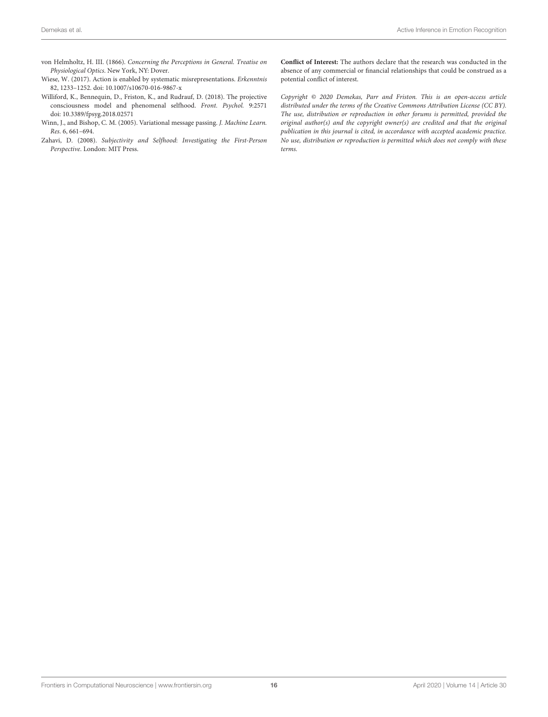- <span id="page-15-0"></span>von Helmholtz, H. III. (1866). Concerning the Perceptions in General. Treatise on Physiological Optics. New York, NY: Dover.
- <span id="page-15-4"></span>Wiese, W. (2017). Action is enabled by systematic misrepresentations. Erkenntnis 82, 1233–1252. doi: [10.1007/s10670-016-9867-x](https://doi.org/10.1007/s10670-016-9867-x)
- <span id="page-15-3"></span>Williford, K., Bennequin, D., Friston, K., and Rudrauf, D. (2018). The projective consciousness model and phenomenal selfhood. Front. Psychol. 9:2571 doi: [10.3389/fpsyg.2018.02571](https://doi.org/10.3389/fpsyg.2018.02571)
- <span id="page-15-1"></span>Winn, J., and Bishop, C. M. (2005). Variational message passing. J. Machine Learn. Res. 6, 661–694.
- <span id="page-15-2"></span>Zahavi, D. (2008). Subjectivity and Selfhood: Investigating the First-Person Perspective. London: MIT Press.

**Conflict of Interest:** The authors declare that the research was conducted in the absence of any commercial or financial relationships that could be construed as a potential conflict of interest.

Copyright © 2020 Demekas, Parr and Friston. This is an open-access article distributed under the terms of the [Creative Commons Attribution License \(CC BY\).](http://creativecommons.org/licenses/by/4.0/) The use, distribution or reproduction in other forums is permitted, provided the original author(s) and the copyright owner(s) are credited and that the original publication in this journal is cited, in accordance with accepted academic practice. No use, distribution or reproduction is permitted which does not comply with these terms.